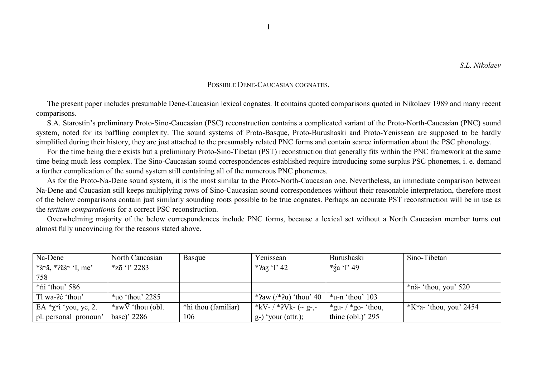## POSSIBLE DENE-CAUCASIAN COGNATES

The present paper includes presumable Dene-Caucasian lexical cognates. It contains quoted comparisons quoted in Nikolaev 1989 and many recent comparisons.

S.A. Starostin's preliminary Proto-Sino-Caucasian (PSC) reconstruction contains a complicated variant of the Proto-North-Caucasian (PNC) sound system, noted for its baffling complexity. The sound systems of Proto-Basque, Proto-Burushaski and Proto-Yenissean are supposed to be hardly simplified during their history, they are just attached to the presumably related PNC forms and contain scarce information about the PSC phonology.

For the time being there exists but a preliminary Proto-Sino-Tibetan (PST) reconstruction that generally fits within the PNC framework at the same time being much less complex. The Sino-Caucasian sound correspondences established require introducing some surplus PSC phonemes, i. e. demand a further complication of the sound system still containing all of the numerous PNC phonemes.

As for the Proto-Na-Dene sound system, it is the most similar to the Proto-North-Caucasian one. Nevertheless, an immediate comparison between Na-Dene and Caucasian still keeps multiplying rows of Sino-Caucasian sound correspondences without their reasonable interpretation, therefore most of the below comparisons contain just similarly sounding roots possible to be true cognates. Perhaps an accurate PST reconstruction will be in use as the *tertium comparationis* for a correct PSC reconstruction.

Overwhelming majority of the below correspondences include PNC forms, because a lexical set without a North Caucasian member turns out almost fully uncovincing for the reasons stated above.

| Na-Dene                                      | North Caucasian                                 | Basque              | Yenissean                                | Burushaski                 | Sino-Tibetan                       |
|----------------------------------------------|-------------------------------------------------|---------------------|------------------------------------------|----------------------------|------------------------------------|
| *š <sup>w</sup> ä, *?äš <sup>w</sup> 'I, me' | $*_{Z\bar{0}}$ 'I' 2283                         |                     | * $2a_3$ 'I' 42                          | * $\frac{2}{3}a$ T 49      |                                    |
| 758                                          |                                                 |                     |                                          |                            |                                    |
| *ni 'thou' 586                               |                                                 |                     |                                          |                            | $*$ nă- 'thou, you' 520            |
| Tl wa-?é 'thou'                              | $*u\bar{o}$ 'thou' 2285                         |                     | * $2aw/(2u)$ 'thou' 40   *u-n 'thou' 103 |                            |                                    |
| EA $\mathcal{X}^{\text{wi}}$ 'you, ye, 2.    | * $\mathbf{w}\overline{\mathbf{V}}$ 'thou (obl. | *hi thou (familiar) | *kV- / *?Vk- (~ g-,-                     | *gu- $/*$ go- 'thou,       | $K^{\text{w}}$ a- 'thou, you' 2454 |
| pl. personal pronoun'                        | base)' 2286                                     | 106                 | $g$ -) 'your (attr.);                    | thine $\text{(obl.)'} 295$ |                                    |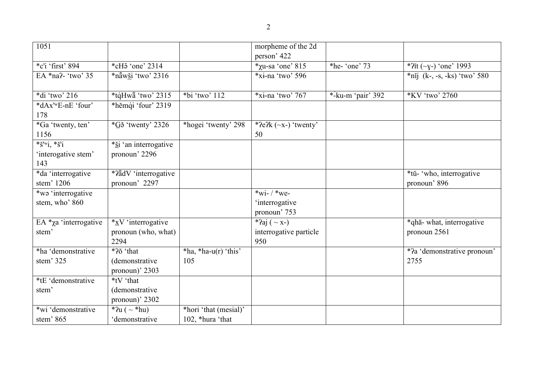| ٠<br>I |
|--------|
| I      |
| ¢      |
|        |

| 1051                                                                              |                                                        |                                           | morpheme of the 2d<br>person' 422                  |                         |                                           |
|-----------------------------------------------------------------------------------|--------------------------------------------------------|-------------------------------------------|----------------------------------------------------|-------------------------|-------------------------------------------|
| *c'i 'first' 894                                                                  | $*$ cH <sub>3</sub> 'one' 2314                         |                                           | $*$ xu-sa 'one' 815                                | *he- $^{\circ}$ one' 73 | * $?$ (~ $y$ -) 'one' 1993                |
| EA *na?- 'two' 35                                                                 | *năwši 'two' 2316                                      |                                           | $*$ xi-na 'two' 596                                |                         | $*nij$ (k-, -s, -ks) 'two' 580            |
| *di 'two' 216                                                                     | *tqHwa 'two' 2315                                      | *bi 'two' 112                             | $*$ xi-na 'two' 767                                | *-ku-m 'pair' $392$     | *KV 'two' 2760                            |
| *dAx'wE-nE 'four'<br>178                                                          | *hěmqi 'four' 2319                                     |                                           |                                                    |                         |                                           |
| *Ga 'twenty, ten'<br>1156                                                         | $*G\check{\sigma}$ 'twenty' 2326                       | *hogei 'twenty' 298                       | * $\text{Pe2k}$ (~x-) 'twenty'<br>50               |                         |                                           |
| $*_{\check{S}}'$ <sup>w</sup> i, $*_{\check{S}}'$ i<br>'interogative stem'<br>143 | * <u>ši</u> 'an interrogative<br>pronoun' 2296         |                                           |                                                    |                         |                                           |
| *da 'interrogative<br>stem' 1206                                                  | *?ādV 'interrogative<br>pronoun' 2297                  |                                           |                                                    |                         | *tŭ- 'who, interrogative<br>pronoun' 896  |
| *wə 'interrogative<br>stem, who' 860                                              |                                                        |                                           | *wi- $/*we-$<br>'interrogative<br>pronoun' 753     |                         |                                           |
| EA *χa 'interrogative<br>stem'                                                    | $*_{X}V$ 'interrogative<br>pronoun (who, what)<br>2294 |                                           | *?aj ( $\sim$ x-)<br>interrogative particle<br>950 |                         | *qhā- what, interrogative<br>pronoun 2561 |
| *ha 'demonstrative<br>stem' 325                                                   | *?ŏ 'that<br>(demonstrative<br>pronoun)' 2303          | $*ha$ , $*ha-u(r)$ 'this'<br>105          |                                                    |                         | *2a 'demonstrative pronoun'<br>2755       |
| *tE 'demonstrative<br>stem'                                                       | *tV 'that<br><i>(demonstrative)</i><br>pronoun)' 2302  |                                           |                                                    |                         |                                           |
| *wi 'demonstrative<br>stem' 865                                                   | * $u \sim$ *hu)<br>'demonstrative                      | *hori 'that (mesial)'<br>102, *hura 'that |                                                    |                         |                                           |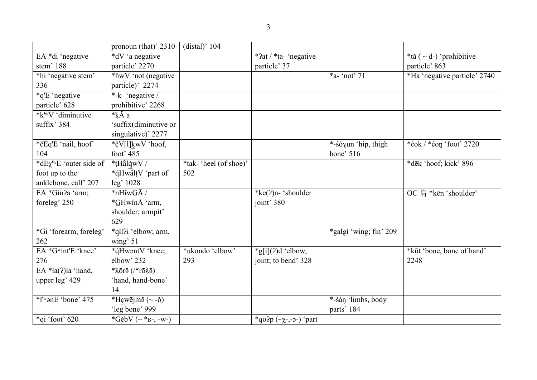|                                             | pronoun (that)' $2310$                | $(distal)'$ 104       |                                                 |                        |                              |
|---------------------------------------------|---------------------------------------|-----------------------|-------------------------------------------------|------------------------|------------------------------|
| EA *di 'negative                            | $\overline{d}$ V 'a negative          |                       | *?at / *ta- 'negative                           |                        | *tă (~ d-) 'prohibitive      |
| stem' 188                                   | particle' 2270                        |                       | particle' 37                                    |                        | particle' 863                |
| *hi 'negative stem'                         | *hwV 'not (negative                   |                       |                                                 | *a- 'not' 71           | *Ha 'negative particle' 2740 |
| 336                                         | particle)' 2274                       |                       |                                                 |                        |                              |
| *q'E 'negative                              | $\overline{\text{*.k}}$ - 'negative / |                       |                                                 |                        |                              |
| particle' 628                               | prohibitive' 2268                     |                       |                                                 |                        |                              |
| *k'wV 'diminutive                           | *kĂ a                                 |                       |                                                 |                        |                              |
| suffix' 384                                 | 'suffix(diminutive or                 |                       |                                                 |                        |                              |
|                                             | singulative)' 2277                    |                       |                                                 |                        |                              |
| *čEq'E 'nail, hoof'                         | *čV[l]kwV 'hoof,                      |                       |                                                 | *-sóyun 'hip, thigh    | *ćok / *ćon 'foot' 2720      |
| 104                                         | foot' 485                             |                       |                                                 | bone' 516              |                              |
| <i>*dE</i> χ <sup>'w</sup> E 'outer side of | *tHălqwV /                            | *tak-'heel (of shoe)' |                                                 |                        | *dēk 'hoof; kick' 896        |
| foot up to the                              | *qHwaltV 'part of                     | 502                   |                                                 |                        |                              |
| anklebone, calf' 207                        | leg' 1028                             |                       |                                                 |                        |                              |
| EA *Gin?a 'arm;                             | $*\overline{nHiwG}\bar{A}$ /          |                       | *ke(?)n- 'shoulder                              |                        | OC 肩 *kēn 'shoulder'         |
| foreleg' 250                                | *GHwinA 'arm,                         |                       | joint' 380                                      |                        |                              |
|                                             | shoulder; armpit'                     |                       |                                                 |                        |                              |
|                                             | 629                                   |                       |                                                 |                        |                              |
| *Gi 'forearm, foreleg'                      | $\overline{\ast}$ qil?i 'elbow; arm,  |                       |                                                 | *galgí 'wing; fin' 209 |                              |
| 262                                         | wing' $51$                            |                       |                                                 |                        |                              |
| EA *Gwint'E 'knee'                          | *qHwantV 'knee;                       | *ukondo 'elbow'       | $*g[i](?)d 'elbow,$                             |                        | *kūt 'bone, bone of hand'    |
| 276                                         | elbow' 232                            | 293                   | joint; to bend' 328                             |                        | 2248                         |
| EA $*la(?)$ la 'hand,                       | * $\lambda$ ōrā (/*rō $\lambda$ ā)    |                       |                                                 |                        |                              |
| upper leg' 429                              | 'hand, hand-bone'                     |                       |                                                 |                        |                              |
|                                             | 14                                    |                       |                                                 |                        |                              |
| * <i>l</i> 'wanE 'bone' 475                 | *Hçwējmǎ $(\sim$ -ŏ)                  |                       |                                                 | *-śán 'limbs, body     |                              |
|                                             | 'leg bone' 999                        |                       |                                                 | parts' 184             |                              |
| $*$ qi 'foot' 620                           | $\sqrt[*]{G}$ ěbV (~ $*_{K^-}$ , -w-) |                       | *qo?p $(\neg \chi_{\neg} \neg \neg \neg)$ 'part |                        |                              |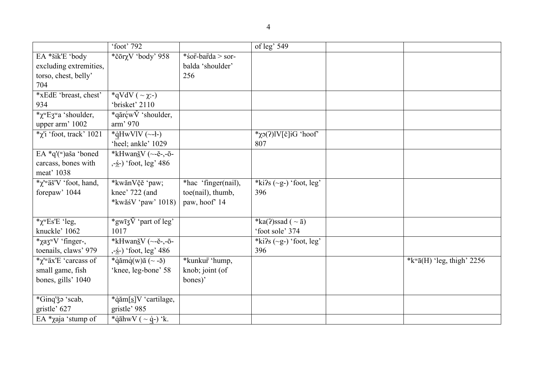|                                                    | 'foot' 792                     |                     | of leg' 549                     |                                               |
|----------------------------------------------------|--------------------------------|---------------------|---------------------------------|-----------------------------------------------|
| EA *šik'E 'body                                    | *čōrχV 'body' 958              | *sor-barda > sor-   |                                 |                                               |
| excluding extremities,                             |                                | balda 'shoulder'    |                                 |                                               |
| torso, chest, belly'                               |                                | 256                 |                                 |                                               |
| 704                                                |                                |                     |                                 |                                               |
| *xEdE 'breast, chest'                              | *qVdV ( $\sim \chi$ :-)        |                     |                                 |                                               |
| 934                                                | 'brisket' 2110                 |                     |                                 |                                               |
| * $\chi$ <sup>w</sup> E3 <sup>w</sup> a 'shoulder, | *qărçw $\check{V}$ 'shoulder,  |                     |                                 |                                               |
| upper arm' 1002                                    | arm' 970                       |                     |                                 |                                               |
| $*_\chi$ 'i 'foot, track' 1021                     | *qHwVlV $(-1)$                 |                     | * $\chi$ 2(?)lV[č]iG 'hoof'     |                                               |
|                                                    | 'heel; ankle' 1029             |                     | 807                             |                                               |
| EA *q'(w)aša 'boned                                | *kHwan <u>š</u> V (~-ě-,-ō-    |                     |                                 |                                               |
| carcass, bones with                                | ,- <u>ś</u> -) 'foot, leg' 486 |                     |                                 |                                               |
| meat' 1038                                         |                                |                     |                                 |                                               |
| *χ <sup>'w</sup> äš'V 'foot, hand,                 | *kwănVčĕ 'paw;                 | *hac 'finger(nail), | *ki?s $(\neg g-)$ 'foot, leg'   |                                               |
| forepaw' 1044                                      | knee' 722 (and                 | toe(nail), thumb,   | 396                             |                                               |
|                                                    | *kwăś $V$ 'paw' 1018)          | paw, hoof' 14       |                                 |                                               |
|                                                    |                                |                     |                                 |                                               |
| * $\chi$ <sup>w</sup> Es'E 'leg,                   | *gwīz $\bar{V}$ 'part of leg'  |                     | *ka(?)ssad ( $\sim$ $\bar{a}$ ) |                                               |
| knuckle' 1062                                      | 1017                           |                     | 'foot sole' 374                 |                                               |
| *χaz <sup>w</sup> V 'finger-,                      | *kHwan <u>š</u> V (~-ĕ-,-ō-    |                     | *ki?s $(\sim g-)$ 'foot, leg'   |                                               |
| toenails, claws' 979                               | ,- <u>ś</u> -) 'foot, leg' 486 |                     | 396                             |                                               |
| *χ' <sup>w</sup> äx'E 'carcass of                  | *qămq(w)ă (~ - $\check{q}$ )   | *kunkur 'hump,      |                                 | * $k^{\text{w}}\bar{a}$ (H) 'leg, thigh' 2256 |
| small game, fish                                   | 'knee, leg-bone' 58            | knob; joint (of     |                                 |                                               |
| bones, gills' 1040                                 |                                | bones)'             |                                 |                                               |
|                                                    |                                |                     |                                 |                                               |
| *Ginq'ǯə 'scab,                                    | *qăm[s]V 'cartilage,           |                     |                                 |                                               |
| gristle' 627                                       | gristle' 985                   |                     |                                 |                                               |
| EA $*$ <i>xaja</i> 'stump of                       | *q̄āhwV ( $\sim$ q̄-) 'k.      |                     |                                 |                                               |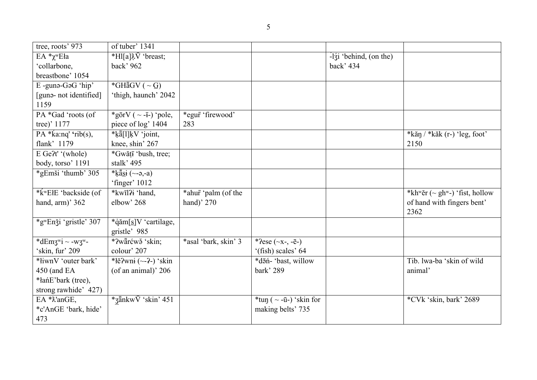| tree, roots' 973                          | of tuber' 1341                                              |                      |                              |                                   |                                    |
|-------------------------------------------|-------------------------------------------------------------|----------------------|------------------------------|-----------------------------------|------------------------------------|
| $EA *_{\chi^w E}$ ła                      | *Hl[a] $\lambda \bar{V}$ 'breast;                           |                      |                              | $-1\overline{3}$ behind, (on the) |                                    |
| 'collarbone,                              | back' 962                                                   |                      |                              | back' 434                         |                                    |
| breastbone' 1054                          |                                                             |                      |                              |                                   |                                    |
| E-guna-GaG 'hip'                          | *GH $\bar{a}$ GV ( $\sim$ G)                                |                      |                              |                                   |                                    |
| [guna- not identified]                    | 'thigh, haunch' 2042                                        |                      |                              |                                   |                                    |
| 1159                                      |                                                             |                      |                              |                                   |                                    |
| PA *Gad 'roots (of                        | *gōrV ( $\sim$ -i-) 'pole,                                  | *egur 'firewood'     |                              |                                   |                                    |
| tree)' 1177                               | piece of log' 1404                                          | 283                  |                              |                                   |                                    |
| PA $*(a:nq'$ rib(s),                      | *kä[l]kV 'joint,                                            |                      |                              |                                   | $*$ kăn / $*$ kăk (r-) 'leg, foot' |
| flank' 1179                               | knee, shin' 267                                             |                      |                              |                                   | 2150                               |
| $E Ge2t'$ (whole)                         | $\sqrt{\text{W\ddot{a}}\text{tr}\cdot \text{b}}$ ush, tree; |                      |                              |                                   |                                    |
| body, torso' 1191                         | stalk' 495                                                  |                      |                              |                                   |                                    |
| *gEmši 'thumb' 305                        | *ķăsi ( $\sim$ -ə,-a)                                       |                      |                              |                                   |                                    |
|                                           | 'finger' 1012                                               |                      |                              |                                   |                                    |
| *kwEłE 'backside (of                      | *kwīl?i 'hand,                                              | *ahur 'palm (of the  |                              |                                   | *khwĕr (~ ghw-) 'fist, hollow      |
| hand, arm)' 362                           | elbow' 268                                                  | hand)' 270           |                              |                                   | of hand with fingers bent'         |
|                                           |                                                             |                      |                              |                                   | 2362                               |
| $\sqrt{\text{gwEn }$ j' gristle' 307      | *qăm[s]V 'cartilage,                                        |                      |                              |                                   |                                    |
|                                           | gristle' 985                                                |                      |                              |                                   |                                    |
| *dEmz <sup>w</sup> i ~ -wz <sup>w</sup> - | *?wārćwě 'skin;                                             | *asal 'bark, skin' 3 | * $?ese (\sim x-, -\bar{e})$ |                                   |                                    |
| 'skin, fur' 209                           | colour' 207                                                 |                      | '(fish) scales' 64           |                                   |                                    |
| *liwnV 'outer bark'                       | *lĕ $2$ wni (~- $2$ -) 'skin                                |                      | *dāń- 'bast, willow          |                                   | Tib. lwa-ba 'skin of wild          |
| 450 (and EA                               | (of an animal)' 206                                         |                      | bark' 289                    |                                   | animal'                            |
| *łańE'bark (tree),                        |                                                             |                      |                              |                                   |                                    |
| strong rawhide' 427)                      |                                                             |                      |                              |                                   |                                    |
| EA $* \lambda$ 'anGE,                     | $*_{\text{Z}}$ änkw $\bar{V}$ 'skin' 451                    |                      | *tun ( $\sim$ -ū-) 'skin for |                                   | *CVk 'skin, bark' 2689             |
| *c'AnGE 'bark, hide'                      |                                                             |                      | making belts' 735            |                                   |                                    |
| 473                                       |                                                             |                      |                              |                                   |                                    |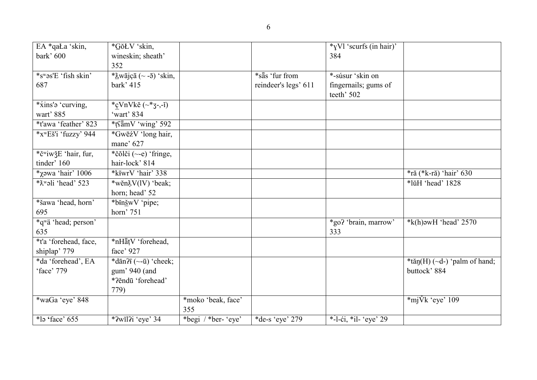| EA *qaŁa 'skin,                     | *GŏŁV 'skin,                                      |                     |                      | *yVl 'scurfs (in hair)' |                                 |
|-------------------------------------|---------------------------------------------------|---------------------|----------------------|-------------------------|---------------------------------|
| bark' 600                           | wineskin; sheath'                                 |                     |                      | 384                     |                                 |
|                                     | 352                                               |                     |                      |                         |                                 |
| $*$ s <sup>w</sup> as'E 'fish skin' | * $\frac{\lambda}{2}$ wājçā (~ -5) 'skin,         |                     | *säs 'fur from       | *-súsur 'skin on        |                                 |
| 687                                 | bark' 415                                         |                     | reindeer's legs' 611 | fingernails; gums of    |                                 |
|                                     |                                                   |                     |                      | teeth' 502              |                                 |
| *xins'a 'curving,                   | *cVnVkĕ $(\sim$ *3-,-ĭ)                           |                     |                      |                         |                                 |
| wart' 885                           | 'wart' 834                                        |                     |                      |                         |                                 |
| *t'awa 'feather' 823                | *tsämV 'wing' 592                                 |                     |                      |                         |                                 |
| $*$ x <sup>w</sup> Eš'i 'fuzzy' 944 | *GwēźV 'long hair,                                |                     |                      |                         |                                 |
|                                     | mane' 627                                         |                     |                      |                         |                                 |
| *č <sup>w</sup> iwžE 'hair, fur,    | *čŏlči $(\sim e)$ 'fringe,                        |                     |                      |                         |                                 |
| tinder' 160                         | hair-lock' 814                                    |                     |                      |                         |                                 |
| * $\gamma$ əwa 'hair' 1006          | *k <del>i</del> wrV 'hair' 338                    |                     |                      |                         | $*$ ră (*k-ră) 'hair' 630       |
| *Xwali 'head' 523                   | *wěn $X(V)$ 'beak;                                |                     |                      |                         | *lŭH 'head' 1828                |
|                                     | horn; head' 52                                    |                     |                      |                         |                                 |
| *šawa 'head, horn'                  | $\overline{\text{*bin}}$ WV 'pipe;                |                     |                      |                         |                                 |
| 695                                 | horn' 751                                         |                     |                      |                         |                                 |
| *q <sup>w</sup> ä 'head; person'    |                                                   |                     |                      | *go? 'brain, marrow'    | $*$ k(h) awH 'head' 2570        |
| 635                                 |                                                   |                     |                      | 333                     |                                 |
| *t'a 'forehead, face,               | *nHatV 'forehead,                                 |                     |                      |                         |                                 |
| shiplap' 779                        | face' 927                                         |                     |                      |                         |                                 |
| *da 'forehead', EA                  | *dān? $\overline{A}$ (~- $\overline{u}$ ) 'cheek; |                     |                      |                         | $*$ tăn(H) (~d-) 'palm of hand; |
| 'face' 779                          | gum' 940 (and                                     |                     |                      |                         | buttock' 884                    |
|                                     | *?ěndū 'forehead'                                 |                     |                      |                         |                                 |
|                                     | 779)                                              |                     |                      |                         |                                 |
| *waGa 'eye' 848                     |                                                   | *moko 'beak, face'  |                      |                         | $*$ mj $\check{V}$ k 'eye' 109  |
|                                     |                                                   | 355                 |                      |                         |                                 |
| $*$ lə 'face' 655                   | *?wĭl?i 'eye' 34                                  | *begi / *ber- 'eye' | *de-s 'eye' 279      | *-1-ci, *il- 'eye' 29   |                                 |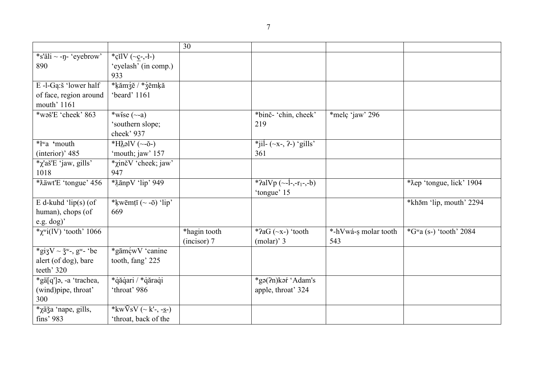|                                               |                                              | 30                          |                                                                       |                             |                           |
|-----------------------------------------------|----------------------------------------------|-----------------------------|-----------------------------------------------------------------------|-----------------------------|---------------------------|
| *s'äli ~ -ŋ- 'eyebrow'<br>890                 | *cilV $(\neg c, -1)$<br>'eyelash' (in comp.) |                             |                                                                       |                             |                           |
|                                               | 933                                          |                             |                                                                       |                             |                           |
| E-l-Gą:š 'lower half                          | *ķămźĕ / *źĕmķă                              |                             |                                                                       |                             |                           |
| of face, region around<br>mouth' 1161         | 'beard' 1161                                 |                             |                                                                       |                             |                           |
| *wəš'E 'cheek' 863                            | *wise $(\sim a)$                             |                             | *binč- 'chin, cheek'                                                  | *melç 'jaw' 296             |                           |
|                                               | 'southern slope;<br>cheek' 937               |                             | 219                                                                   |                             |                           |
| *ł <sup>w</sup> a 'mouth                      | *H $\lambda$ əlV (~-ŏ-)                      |                             | *jil- $(\sim x-, ?-)$ 'gills'                                         |                             |                           |
| (interior)' 485                               | 'mouth; jaw' 157                             |                             | 361                                                                   |                             |                           |
| $\chi$ 'aš'E 'jaw, gills'                     | *χinčV 'cheek; jaw'                          |                             |                                                                       |                             |                           |
| 1018                                          | 947                                          |                             |                                                                       |                             |                           |
| *Xäwt'E 'tongue' 456                          | *XānpV 'lip' 949                             |                             | *?alVp $(\sim$ -1 <sup>-</sup> -,-r <sub>1</sub> -,-b)<br>'tongue' 15 |                             | *Xep 'tongue, lick' 1904  |
| E d-kuhd ' $lip(s)$ (of                       | *kwēmțī $(\sim$ -ō) 'lip'                    |                             |                                                                       |                             | *khām 'lip, mouth' 2294   |
| human), chops (of                             | 669                                          |                             |                                                                       |                             |                           |
| e.g. dog)'                                    |                                              |                             |                                                                       |                             |                           |
| * $\chi$ <sup>w</sup> i(lV) 'tooth' 1066      |                                              | *hagin tooth<br>(incisor) 7 | * $2aG$ ( $-x$ -) 'tooth<br>$(molar)'$ 3                              | *-hVwá-s molar tooth<br>543 | * $Gwa$ (s-) 'tooth' 2084 |
| *gizV ~ $\check{3}^w$ -, g <sup>w</sup> - 'be | *gāmçwV 'canine                              |                             |                                                                       |                             |                           |
| alert (of dog), bare                          | tooth, fang' 225                             |                             |                                                                       |                             |                           |
| teeth' 320                                    |                                              |                             |                                                                       |                             |                           |
| *gä[q']ə, -a 'trachea,                        | *qăqari / *qăraqi                            |                             | *gə(?n)kəŕ 'Adam's                                                    |                             |                           |
| (wind)pipe, throat'                           | 'throat' 986                                 |                             | apple, throat' 324                                                    |                             |                           |
| 300                                           |                                              |                             |                                                                       |                             |                           |
| <i>*</i> χäǯa 'nape, gills,                   | * $kw\bar{V}sV$ (~ k'-, -s-)                 |                             |                                                                       |                             |                           |
| fins' 983                                     | 'throat, back of the                         |                             |                                                                       |                             |                           |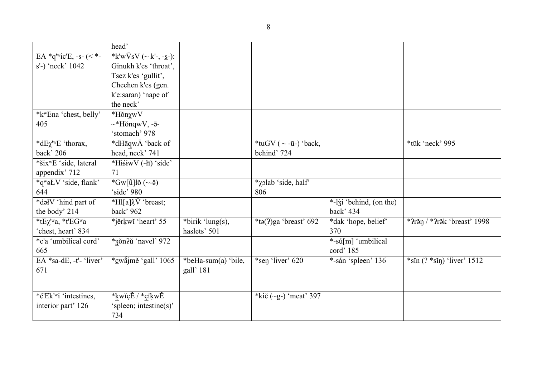| $E A * q'$ wic'E, -s- $(<$ *-<br>*k'w $VsV$ (~ k'-, - <u>s</u> -):<br>s'-) 'neck' 1042<br>Ginukh k'es 'throat',<br>Tsez k'es 'gullit',<br>Chechen k'es (gen.<br>k'e:saran) 'nape of<br>the neck'<br>*k <sup>w</sup> Ena 'chest, belly'<br>*HŏnχwV<br>$\sim$ *HŏnqwV, - $\bar{a}$ -<br>405<br>'stomach' 978<br><i>*</i> dΕχ' <sup>w</sup> E 'thorax,<br>*dHaqwA 'back of<br>*tuGV ( $\sim$ -ū-) 'back,<br>*tūk 'neck' 995<br>back' 206<br>head, neck' 741<br>behind' 724<br>*šix <sup>w</sup> E 'side, lateral<br>*HiśiwV (-łī) 'side'<br>appendix' 712<br>71<br>$\sqrt[k]{\text{GW}[\check{u}]\check{b}(-\check{a})}$<br>*q <sup>w</sup> əLV 'side, flank'<br>*xolab 'side, half'<br>'side' 980<br>644<br>806<br>*dəlV 'hind part of<br>*Hl[a] $\lambda \bar{V}$ 'breast;<br>*-lzi 'behind, (on the)<br>back' 962<br>back' 434<br>the body' 214<br>$*$ tE $\chi$ 'wa, *t'EGwa<br>$\overline{\ast}$ birik 'lung(s),<br>*jěrkwĭ 'heart' 55<br>$*$ tə(?)ga 'breast' 692<br>$*$ ?răn / *?răk 'breast' 1998<br>*dak 'hope, belief'<br>'chest, heart' 834<br>haslets' 501<br>370<br>*3ŏn?ŭ 'navel' 972<br>*- $s\acute{u}[m]$ 'umbilical'<br>*c'a 'umbilical cord'<br>cord' 185<br>665<br>EA *sa-dE, -t'- 'liver'<br>*cwäjmě 'gall' 1065<br>*sen 'liver' 620<br>*beHa-sum(a) 'bile,<br>*-sán 'spleen' 136<br>$*sin(? *sin)$ 'liver' 1512<br>gall' 181<br>671<br>$*$ č'Ek' <sup>w</sup> i 'intestines,<br>*kwĭçĔ / *çĭkwĔ<br>*kič $(-g-)$ 'meat' 397 | head' |  |  |
|----------------------------------------------------------------------------------------------------------------------------------------------------------------------------------------------------------------------------------------------------------------------------------------------------------------------------------------------------------------------------------------------------------------------------------------------------------------------------------------------------------------------------------------------------------------------------------------------------------------------------------------------------------------------------------------------------------------------------------------------------------------------------------------------------------------------------------------------------------------------------------------------------------------------------------------------------------------------------------------------------------------------------------------------------------------------------------------------------------------------------------------------------------------------------------------------------------------------------------------------------------------------------------------------------------------------------------------------------------------------------------------------------------------------------------------------|-------|--|--|
|                                                                                                                                                                                                                                                                                                                                                                                                                                                                                                                                                                                                                                                                                                                                                                                                                                                                                                                                                                                                                                                                                                                                                                                                                                                                                                                                                                                                                                              |       |  |  |
|                                                                                                                                                                                                                                                                                                                                                                                                                                                                                                                                                                                                                                                                                                                                                                                                                                                                                                                                                                                                                                                                                                                                                                                                                                                                                                                                                                                                                                              |       |  |  |
|                                                                                                                                                                                                                                                                                                                                                                                                                                                                                                                                                                                                                                                                                                                                                                                                                                                                                                                                                                                                                                                                                                                                                                                                                                                                                                                                                                                                                                              |       |  |  |
|                                                                                                                                                                                                                                                                                                                                                                                                                                                                                                                                                                                                                                                                                                                                                                                                                                                                                                                                                                                                                                                                                                                                                                                                                                                                                                                                                                                                                                              |       |  |  |
|                                                                                                                                                                                                                                                                                                                                                                                                                                                                                                                                                                                                                                                                                                                                                                                                                                                                                                                                                                                                                                                                                                                                                                                                                                                                                                                                                                                                                                              |       |  |  |
|                                                                                                                                                                                                                                                                                                                                                                                                                                                                                                                                                                                                                                                                                                                                                                                                                                                                                                                                                                                                                                                                                                                                                                                                                                                                                                                                                                                                                                              |       |  |  |
|                                                                                                                                                                                                                                                                                                                                                                                                                                                                                                                                                                                                                                                                                                                                                                                                                                                                                                                                                                                                                                                                                                                                                                                                                                                                                                                                                                                                                                              |       |  |  |
|                                                                                                                                                                                                                                                                                                                                                                                                                                                                                                                                                                                                                                                                                                                                                                                                                                                                                                                                                                                                                                                                                                                                                                                                                                                                                                                                                                                                                                              |       |  |  |
|                                                                                                                                                                                                                                                                                                                                                                                                                                                                                                                                                                                                                                                                                                                                                                                                                                                                                                                                                                                                                                                                                                                                                                                                                                                                                                                                                                                                                                              |       |  |  |
|                                                                                                                                                                                                                                                                                                                                                                                                                                                                                                                                                                                                                                                                                                                                                                                                                                                                                                                                                                                                                                                                                                                                                                                                                                                                                                                                                                                                                                              |       |  |  |
|                                                                                                                                                                                                                                                                                                                                                                                                                                                                                                                                                                                                                                                                                                                                                                                                                                                                                                                                                                                                                                                                                                                                                                                                                                                                                                                                                                                                                                              |       |  |  |
|                                                                                                                                                                                                                                                                                                                                                                                                                                                                                                                                                                                                                                                                                                                                                                                                                                                                                                                                                                                                                                                                                                                                                                                                                                                                                                                                                                                                                                              |       |  |  |
|                                                                                                                                                                                                                                                                                                                                                                                                                                                                                                                                                                                                                                                                                                                                                                                                                                                                                                                                                                                                                                                                                                                                                                                                                                                                                                                                                                                                                                              |       |  |  |
|                                                                                                                                                                                                                                                                                                                                                                                                                                                                                                                                                                                                                                                                                                                                                                                                                                                                                                                                                                                                                                                                                                                                                                                                                                                                                                                                                                                                                                              |       |  |  |
|                                                                                                                                                                                                                                                                                                                                                                                                                                                                                                                                                                                                                                                                                                                                                                                                                                                                                                                                                                                                                                                                                                                                                                                                                                                                                                                                                                                                                                              |       |  |  |
|                                                                                                                                                                                                                                                                                                                                                                                                                                                                                                                                                                                                                                                                                                                                                                                                                                                                                                                                                                                                                                                                                                                                                                                                                                                                                                                                                                                                                                              |       |  |  |
|                                                                                                                                                                                                                                                                                                                                                                                                                                                                                                                                                                                                                                                                                                                                                                                                                                                                                                                                                                                                                                                                                                                                                                                                                                                                                                                                                                                                                                              |       |  |  |
|                                                                                                                                                                                                                                                                                                                                                                                                                                                                                                                                                                                                                                                                                                                                                                                                                                                                                                                                                                                                                                                                                                                                                                                                                                                                                                                                                                                                                                              |       |  |  |
|                                                                                                                                                                                                                                                                                                                                                                                                                                                                                                                                                                                                                                                                                                                                                                                                                                                                                                                                                                                                                                                                                                                                                                                                                                                                                                                                                                                                                                              |       |  |  |
|                                                                                                                                                                                                                                                                                                                                                                                                                                                                                                                                                                                                                                                                                                                                                                                                                                                                                                                                                                                                                                                                                                                                                                                                                                                                                                                                                                                                                                              |       |  |  |
|                                                                                                                                                                                                                                                                                                                                                                                                                                                                                                                                                                                                                                                                                                                                                                                                                                                                                                                                                                                                                                                                                                                                                                                                                                                                                                                                                                                                                                              |       |  |  |
|                                                                                                                                                                                                                                                                                                                                                                                                                                                                                                                                                                                                                                                                                                                                                                                                                                                                                                                                                                                                                                                                                                                                                                                                                                                                                                                                                                                                                                              |       |  |  |
|                                                                                                                                                                                                                                                                                                                                                                                                                                                                                                                                                                                                                                                                                                                                                                                                                                                                                                                                                                                                                                                                                                                                                                                                                                                                                                                                                                                                                                              |       |  |  |
|                                                                                                                                                                                                                                                                                                                                                                                                                                                                                                                                                                                                                                                                                                                                                                                                                                                                                                                                                                                                                                                                                                                                                                                                                                                                                                                                                                                                                                              |       |  |  |
|                                                                                                                                                                                                                                                                                                                                                                                                                                                                                                                                                                                                                                                                                                                                                                                                                                                                                                                                                                                                                                                                                                                                                                                                                                                                                                                                                                                                                                              |       |  |  |
| 'spleen; intestine(s)'<br>interior part' 126                                                                                                                                                                                                                                                                                                                                                                                                                                                                                                                                                                                                                                                                                                                                                                                                                                                                                                                                                                                                                                                                                                                                                                                                                                                                                                                                                                                                 |       |  |  |
| 734                                                                                                                                                                                                                                                                                                                                                                                                                                                                                                                                                                                                                                                                                                                                                                                                                                                                                                                                                                                                                                                                                                                                                                                                                                                                                                                                                                                                                                          |       |  |  |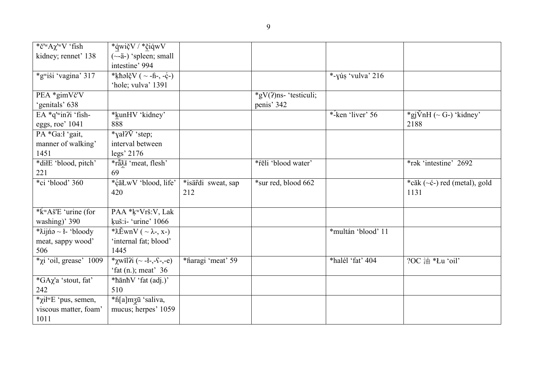| *č' <sup>w</sup> A $\chi$ ' <sup>w</sup> V 'fish     | *qwičV / *čiqwV                           |                    |                          |                    |                                  |
|------------------------------------------------------|-------------------------------------------|--------------------|--------------------------|--------------------|----------------------------------|
| kidney; rennet' 138                                  | $(\sim a-)$ 'spleen; small                |                    |                          |                    |                                  |
|                                                      | intestine' 994                            |                    |                          |                    |                                  |
| *gwiśi 'vagina' 317                                  | $\sqrt[k]{\text{th}}$ əlčV ( ~ -fi-, -ć-) |                    |                          | *-yús 'vulva' 216  |                                  |
|                                                      | 'hole; vulva' 1391                        |                    |                          |                    |                                  |
| PEA *gimVč'V                                         |                                           |                    | $*gV(?)$ ns- 'testiculi; |                    |                                  |
| 'genitals' 638                                       |                                           |                    | penis' 342               |                    |                                  |
| EA $*q$ <sup>w</sup> in?i 'fish-                     | *kunHV 'kidney'                           |                    |                          | *-ken 'liver' $56$ | *gj $\text{VnH}$ (~ G-) 'kidney' |
| eggs, roe' 1041                                      | 888                                       |                    |                          |                    | 2188                             |
| PA *Ga:ł 'gait,                                      | *yał? $\check{V}$ 'step;                  |                    |                          |                    |                                  |
| manner of walking'                                   | interval between                          |                    |                          |                    |                                  |
| 1451                                                 | legs' 2176                                |                    |                          |                    |                                  |
| *dilE 'blood, pitch'                                 | *ră $\overline{\lambda}$ i 'meat, flesh'  |                    | *fēli 'blood water'      |                    | *rək 'intestine' 2692            |
| 221                                                  | 69                                        |                    |                          |                    |                                  |
| *ci 'blood' 360                                      | *ćāŁwV 'blood, life'                      | *isärdi sweat, sap | *sur red, blood 662      |                    | *căk (~c-) red (metal), gold     |
|                                                      | 420                                       | 212                |                          |                    | 1131                             |
|                                                      |                                           |                    |                          |                    |                                  |
| * $\mathbf{\acute{k}}$ <sup>w</sup> Aš'E 'urine (for | PAA *kwVrš:V, Lak                         |                    |                          |                    |                                  |
| washing)' 390                                        | kuš:i- 'urine' 1066                       |                    |                          |                    |                                  |
| $\sqrt[*]{\lambda}$ ijń $\rightarrow$ - ł- 'bloody   | * $\lambda$ EwnV ( ~ $\lambda$ -, x-)     |                    |                          | *multán 'blood' 11 |                                  |
| meat, sappy wood'                                    | 'internal fat; blood'                     |                    |                          |                    |                                  |
| 506                                                  | 1445                                      |                    |                          |                    |                                  |
| * $\chi$ i 'oil, grease' 1009                        | * $\chi$ wil?i (~ -ł-,-ſ-,-e)             | *haragi 'meat' 59  |                          | *halél 'fat' 404   | ?OC 油 *Łu 'oil'                  |
|                                                      | 'fat $(n)$ ; meat' 36                     |                    |                          |                    |                                  |
| <i>*</i> GAχ'a 'stout, fat'                          | *hānhV 'fat (adj.)'                       |                    |                          |                    |                                  |
| 242                                                  | 510                                       |                    |                          |                    |                                  |
| * $\chi$ ił <sup>w</sup> E 'pus, semen,              | *fi[a]mʒū 'saliva,                        |                    |                          |                    |                                  |
| viscous matter, foam'                                | mucus; herpes' 1059                       |                    |                          |                    |                                  |
| 1011                                                 |                                           |                    |                          |                    |                                  |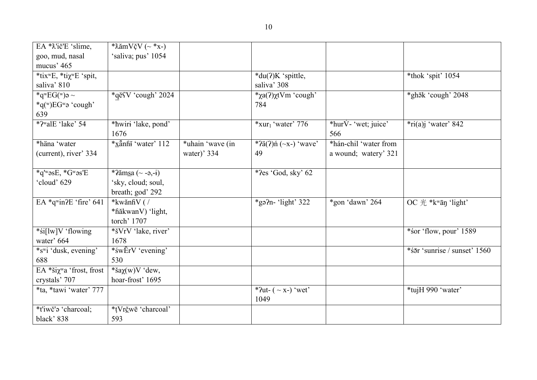| EA * X'ič'E 'slime,                             | * $\lambda$ ăm $V\check{c}V$ (~ *x-) |                  |                                  |                         |                              |
|-------------------------------------------------|--------------------------------------|------------------|----------------------------------|-------------------------|------------------------------|
| goo, mud, nasal                                 | 'saliva; pus' 1054                   |                  |                                  |                         |                              |
| mucus' 465                                      |                                      |                  |                                  |                         |                              |
| *tix <sup>w</sup> E, *tix <sup>w</sup> E 'spit, |                                      |                  | *du(?)K 'spittle,                |                         | *thok 'spit' 1054            |
| saliva' 810                                     |                                      |                  | saliva' 308                      |                         |                              |
| *q <sup>w</sup> EG( <sup>w</sup> )a ~           | *qĕSV 'cough' 2024                   |                  | <i>*</i> χa(?) xtVm 'cough'      |                         | *ghōk 'cough' 2048           |
| * $q^{\rm (w)}$ EG <sup>w</sup> ə 'cough'       |                                      |                  | 784                              |                         |                              |
| 639                                             |                                      |                  |                                  |                         |                              |
| *?walE 'lake' 54                                | *hwiri 'lake, pond'                  |                  | $*$ xur <sub>1</sub> 'water' 776 | *hur $V$ - 'wet; juice' | $*ri(a)j$ 'water' 842        |
|                                                 | 1676                                 |                  |                                  | 566                     |                              |
| *häna 'water                                    | *xänhi 'water' 112                   | *uhain 'wave (in | * $2a(2)$ ń (~x-) 'wave'         | *hán-chil 'water from   |                              |
| (current), river' 334                           |                                      | water)' 334      | 49                               | a wound; watery' 321    |                              |
|                                                 |                                      |                  |                                  |                         |                              |
| $*q$ 'wasE, $*G$ was'E                          | *?ămsa (~ -ə,-i)                     |                  | * $?es 'God, sky' 62$            |                         |                              |
| 'cloud' 629                                     | 'sky, cloud; soul,                   |                  |                                  |                         |                              |
|                                                 | breath; god' 292                     |                  |                                  |                         |                              |
| EA $*q$ win?E 'fire' 641                        | *kwănfiV (/                          |                  | *gə $n-$ 'light' 322             | *gon 'dawn' 264         | OC $#$ *kwan 'light'         |
|                                                 | *hăkwanV) 'light,                    |                  |                                  |                         |                              |
|                                                 | torch' 1707                          |                  |                                  |                         |                              |
| *si[lw]V 'flowing                               | *šVrV 'lake, river'                  |                  |                                  |                         | *sor 'flow, pour' 1589       |
| water' 664                                      | 1678                                 |                  |                                  |                         |                              |
| *s <sup>w</sup> i 'dusk, evening'               | *śwErV 'evening'                     |                  |                                  |                         | *sār 'sunrise / sunset' 1560 |
| 688                                             | 530                                  |                  |                                  |                         |                              |
| EA *ši $\chi$ <sup>w</sup> a 'frost, frost      | *ša $\chi(w)$ V 'dew,                |                  |                                  |                         |                              |
| crystals' 707                                   | hoar-frost' 1695                     |                  |                                  |                         |                              |
| *ta, *tawi 'water' 777                          |                                      |                  | * $2ut- (-x-)$ 'wet'             |                         | *tujH 990 'water'            |
|                                                 |                                      |                  | 1049                             |                         |                              |
| *t'iwč'a 'charcoal;                             | *tVrčwe 'charcoal'                   |                  |                                  |                         |                              |
| black' 838                                      | 593                                  |                  |                                  |                         |                              |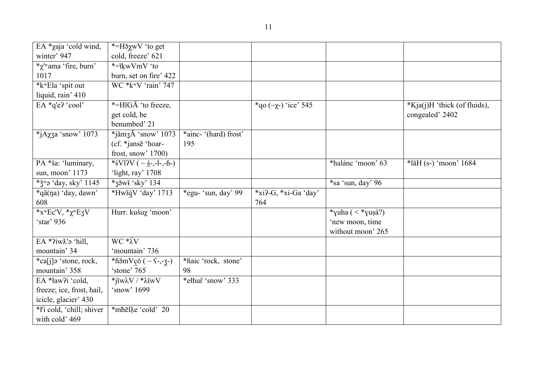| EA *χaja 'cold wind,                                                               | *=Η <sub>δ</sub> χwV 'to get                  |                       |                             |                       |                              |
|------------------------------------------------------------------------------------|-----------------------------------------------|-----------------------|-----------------------------|-----------------------|------------------------------|
| winter' 947                                                                        | cold, freeze' 621                             |                       |                             |                       |                              |
| <i>*</i> χ'wama 'fire, burn'                                                       | *=īkwVmV 'to                                  |                       |                             |                       |                              |
| 1017                                                                               | burn, set on fire' 422                        |                       |                             |                       |                              |
| *k <sup>w</sup> Ela 'spit out                                                      | WC *k <sup>w</sup> V 'rain' 747               |                       |                             |                       |                              |
| liquid, rain' 410                                                                  |                                               |                       |                             |                       |                              |
| EA *q'e? 'cool'                                                                    | *=HiGĀ 'to freeze,                            |                       | * qo ( $\sim$ χ-) 'ice' 545 |                       | *Kja(j)H 'thick (of fluids), |
|                                                                                    | get cold, be                                  |                       |                             |                       | congealed' 2402              |
|                                                                                    | benumbed' 21                                  |                       |                             |                       |                              |
| *jA $\chi$ za 'snow' 1073                                                          | $*$ jămz $\check{A}$ 'snow' 1073              | *ainc- '(hard) frost' |                             |                       |                              |
|                                                                                    | (cf. *jansē 'hoar-                            | 195                   |                             |                       |                              |
|                                                                                    | frost, snow' $1700$ )                         |                       |                             |                       |                              |
| PA *ša: 'luminary,                                                                 | *sVl?V ( $\sim \underline{5}$ -,-ł-,-ĥ-)      |                       |                             | *halánc 'moon' 63     | *lăH (s-) 'moon' 1684        |
| sun, moon' 1173                                                                    | 'light, ray' 1708                             |                       |                             |                       |                              |
| * $\check{\mathsf{c}}$ * $\check{\mathsf{c}}$ * $\check{\mathsf{c}}$ ay, sky' 1145 | $*$ zěwi 'sky' 134                            |                       |                             | *sa 'sun, day' 96     |                              |
| *qä(na) 'day, dawn'                                                                | *HwīqV 'day' 1713                             | *egu- 'sun, day' 99   | *xi?-G, *xi-Ga 'day'        |                       |                              |
| 608                                                                                |                                               |                       | 764                         |                       |                              |
| * $x^w$ Ec'V, * $x^w$ EzV                                                          | Hurr. kušuχ 'moon'                            |                       |                             | *yuha ( $\lt$ *yuṣá?) |                              |
| 'star' 936                                                                         |                                               |                       |                             | 'new moon, time       |                              |
|                                                                                    |                                               |                       |                             | without moon' 265     |                              |
| EA *?iwl'? 'hill,                                                                  | $WC * \lambda V$                              |                       |                             |                       |                              |
| mountain' 34                                                                       | 'mountain' 736                                |                       |                             |                       |                              |
| *ca[j]ə 'stone, rock,                                                              | *fi $\bar{5}$ mVçŏ ( ~ $\zeta$ -,- $\zeta$ -) | *haic 'rock, stone'   |                             |                       |                              |
| mountain' 358                                                                      | 'stone' 765                                   | 98                    |                             |                       |                              |
| EA *ław?i 'cold,                                                                   | $*$ jĭw $\lambda V$ / $* \lambda$ ĭw $V$      | *ełhur 'snow' 333     |                             |                       |                              |
| freeze; ice, frost, hail,                                                          | 'snow' 1699                                   |                       |                             |                       |                              |
| icicle, glacier' 430                                                               |                                               |                       |                             |                       |                              |
| * <i>l'i</i> cold, 'chill; shiver                                                  | *mhēlų cold' 20                               |                       |                             |                       |                              |
| with cold' 469                                                                     |                                               |                       |                             |                       |                              |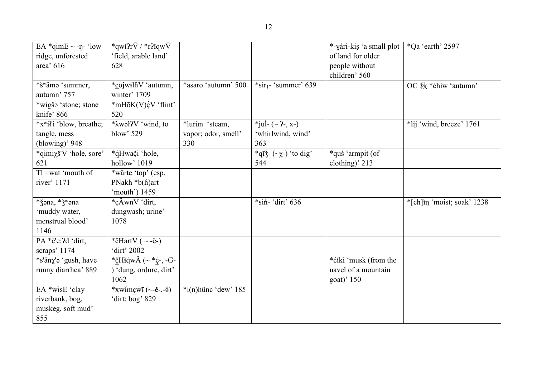| EA *qimE $\sim$ -ŋ- 'low             | *qwi?r $\bar{V}$ / *r?iqw $\bar{V}$ |                         |                                                                              | *-yári-kiṣ 'a small plot | *Qa 'earth' 2597           |
|--------------------------------------|-------------------------------------|-------------------------|------------------------------------------------------------------------------|--------------------------|----------------------------|
| ridge, unforested                    | 'field, arable land'                |                         |                                                                              | of land for older        |                            |
| area' 616                            | 628                                 |                         |                                                                              | people without           |                            |
|                                      |                                     |                         |                                                                              | children' 560            |                            |
| *š <sup>w</sup> ämə 'summer,         | *cōjwilfiV 'autumn,                 | *asaro 'autumn' 500     | $*$ sir <sub>1</sub> - 'summer' 639                                          |                          | OC 秋 *ćhiw 'autumn'        |
| autumn' 757                          | winter' 1709                        |                         |                                                                              |                          |                            |
| *wigša 'stone; stone                 | *mHōK(V)¢V 'flint'                  |                         |                                                                              |                          |                            |
| knife' 866                           | 520                                 |                         |                                                                              |                          |                            |
| *x <sup>w</sup> ił'i 'blow, breathe; | *λw <sub>9</sub> ł?V 'wind, to      | *lurün 'steam,          | *jul- $({\sim} 2, x)$                                                        |                          | *lij 'wind, breeze' 1761   |
| tangle, mess                         | blow' 529                           | vapor; odor, smell'     | 'whirlwind, wind'                                                            |                          |                            |
| (blowing)' $948$                     |                                     | 330                     | 363                                                                          |                          |                            |
| *qimix <sup>*</sup> V 'hole, sore'   | *qHwači 'hole,                      |                         | *q $\overline{q}$ *q $\overline{q}$ * $\left(\sim \chi$ - $\right)$ 'to dig' | *quś 'armpit (of         |                            |
| 621                                  | hollow' 1019                        |                         | 544                                                                          | clothing)' 213           |                            |
| $T1 = wat$ mouth of                  | *wărte 'top' (esp.                  |                         |                                                                              |                          |                            |
| river' 1171                          | PNakh *b(fi)art                     |                         |                                                                              |                          |                            |
|                                      | 'mouth') 1459                       |                         |                                                                              |                          |                            |
| *žəna, *ž <sup>w</sup> əna           | *çĂwnV 'dirt,                       |                         | *siń- 'dirt' 636                                                             |                          | *[ch]in 'moist; soak' 1238 |
| 'muddy water,                        | dungwash; urine'                    |                         |                                                                              |                          |                            |
| menstrual blood'                     | 1078                                |                         |                                                                              |                          |                            |
| 1146                                 |                                     |                         |                                                                              |                          |                            |
| PA *č'e: ?d 'dirt,                   | *čHartV ( $\sim$ -ē-)               |                         |                                                                              |                          |                            |
| scraps' 1174                         | 'dirt' 2002                         |                         |                                                                              |                          |                            |
| *s'än $\chi$ 'ə 'gush, have          | *čHiqw $\AA$ ( $\sim$ *c-, -G-      |                         |                                                                              | *ćíki 'musk (from the    |                            |
| runny diarrhea' 889                  | ) 'dung, ordure, dirt'              |                         |                                                                              | navel of a mountain      |                            |
|                                      | 1062                                |                         |                                                                              | goat)' 150               |                            |
| EA *wisE 'clay                       | *xwǐmcwī (~-ĕ-,-ə̃)                 | $*$ i(n) hünc 'dew' 185 |                                                                              |                          |                            |
| riverbank, bog,                      | 'dirt; bog' 829                     |                         |                                                                              |                          |                            |
| muskeg, soft mud'                    |                                     |                         |                                                                              |                          |                            |
| 855                                  |                                     |                         |                                                                              |                          |                            |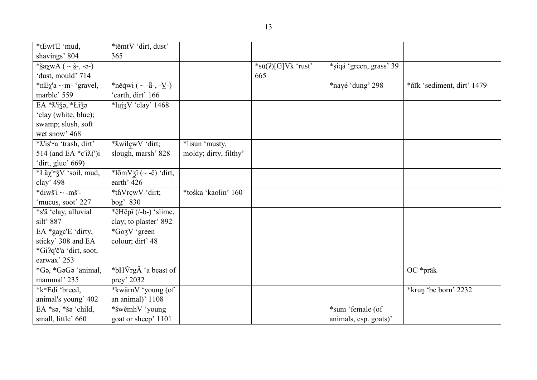| *tEwt'E 'mud,                                             | *těmtV 'dirt, dust'                                             |                       |                            |                         |                            |
|-----------------------------------------------------------|-----------------------------------------------------------------|-----------------------|----------------------------|-------------------------|----------------------------|
| shavings' 804                                             | 365                                                             |                       |                            |                         |                            |
| * <u>š</u> aχwA ( ~ <u>ś</u> -, -ə-)                      |                                                                 |                       | $*s\bar{u}(?)[G]Vk$ 'rust' | *siqá 'green, grass' 39 |                            |
| 'dust, mould' 714                                         |                                                                 |                       | 665                        |                         |                            |
| * $nE\chi$ 'a ~ m- 'gravel,                               | *něqwi (~ - $\bar{a}$ -, - $\underline{V}$ -)                   |                       |                            | *nayé 'dung' 298        | *nīk 'sediment, dirt' 1479 |
| marble' 559                                               | 'earth, dirt' 166                                               |                       |                            |                         |                            |
| EA * X'iža, * Łiža                                        | $\sqrt[k]{\text{lu}^{\text{2}}\text{V} \cdot \text{clay}}$ 1468 |                       |                            |                         |                            |
| 'clay (white, blue);                                      |                                                                 |                       |                            |                         |                            |
| swamp; slush, soft                                        |                                                                 |                       |                            |                         |                            |
| wet snow' 468                                             |                                                                 |                       |                            |                         |                            |
| *X'is'wa 'trash, dirt'                                    | * Awilçw V 'dirt;                                               | *lisun 'musty,        |                            |                         |                            |
| 514 (and EA $\text{*c'i}\&\text{'i}$ )                    | slough, marsh' 828                                              | moldy; dirty, filthy' |                            |                         |                            |
| 'dirt, glue' $669$ )                                      |                                                                 |                       |                            |                         |                            |
| *Läχ' <sup>w</sup> ǯV 'soil, mud,                         | * $l\bar{\text{om}}V$ zĭ (~ -ĕ) 'dirt,                          |                       |                            |                         |                            |
| clay' 498                                                 | earth' 426                                                      |                       |                            |                         |                            |
| *diwš'i ~ - $m\ddot{s}$ '-                                | *thVrcwV 'dirt;                                                 | *tośka 'kaolin' 160   |                            |                         |                            |
| 'mucus, soot' 227                                         | bog' 830                                                        |                       |                            |                         |                            |
| *s'ä 'clay, alluvial                                      | *čHěpĭ (/-b-) 'slime,                                           |                       |                            |                         |                            |
| silt' 887                                                 | clay; to plaster' 892                                           |                       |                            |                         |                            |
| EA *gaχc'E 'dirty,                                        | *Go3V 'green                                                    |                       |                            |                         |                            |
| sticky' 308 and EA                                        | colour; dirt' 48                                                |                       |                            |                         |                            |
| *Gi?q'č'a 'dirt, soot,                                    |                                                                 |                       |                            |                         |                            |
| earwax' 253                                               |                                                                 |                       |                            |                         |                            |
| *G <sub>2</sub> , *G <sub>2</sub> G <sub>2</sub> 'animal, | *bHVrgÅ 'a beast of                                             |                       |                            |                         | $OC * prāk$                |
| mammal' 235                                               | prey' 2032                                                      |                       |                            |                         |                            |
| *k <sup>w</sup> Edi 'breed,                               | *kwărnV 'young (of                                              |                       |                            |                         | *krun 'be born' 2232       |
| animal's young' 402                                       | an animal)' 1108                                                |                       |                            |                         |                            |
| EA $*_{s9}$ , $*_{s9}$ 'child,                            | *šwěmhV 'young                                                  |                       |                            | *sum 'female (of        |                            |
| small, little' 660                                        | goat or sheep' 1101                                             |                       |                            | animals, esp. goats)'   |                            |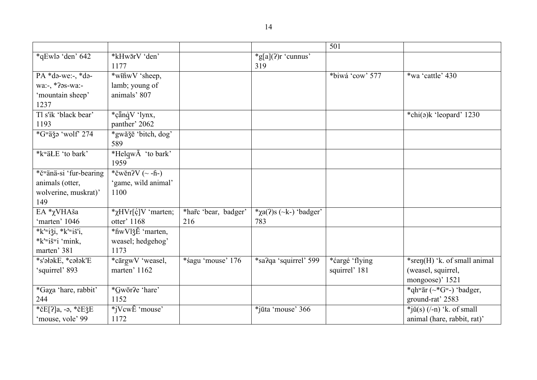|                            |                                     |                      |                                    | 501             |                                     |
|----------------------------|-------------------------------------|----------------------|------------------------------------|-----------------|-------------------------------------|
| *qEwla 'den' 642           | *kHw5rV 'den'<br>1177               |                      | $\text{*}g[a](?)r$ 'cunnus'<br>319 |                 |                                     |
| $PA * də-we: -, * də-$     | *wifiwV 'sheep,                     |                      |                                    | *biwá 'cow' 577 | *wa 'cattle' 430                    |
| wa:-, *?əs-wa:-            | lamb; young of                      |                      |                                    |                 |                                     |
| 'mountain sheep'           | animals' 807                        |                      |                                    |                 |                                     |
| 1237                       |                                     |                      |                                    |                 |                                     |
| Tl s'ik 'black bear'       | *çänqV 'lynx,                       |                      |                                    |                 | *chi(a)k 'leopard' 1230             |
| 1193                       | panther' 2062                       |                      |                                    |                 |                                     |
| *Gwäğə 'wolf' 274          | *gwăžē 'bitch, dog'                 |                      |                                    |                 |                                     |
|                            | 589                                 |                      |                                    |                 |                                     |
| *kwäŁE 'to bark'           | *HelqwA 'to bark'                   |                      |                                    |                 |                                     |
|                            | 1959                                |                      |                                    |                 |                                     |
| *čwänä-si 'fur-bearing     | *čwěn? $V$ (~ -ĥ-)                  |                      |                                    |                 |                                     |
| animals (otter,            | 'game, wild animal'                 |                      |                                    |                 |                                     |
| wolverine, muskrat)'       | 1100                                |                      |                                    |                 |                                     |
| 149                        |                                     |                      |                                    |                 |                                     |
| EA *χVHAša                 | * $\chi$ HVr[ $\varphi$ ]V 'marten; | *harc 'bear, badger' | * $\chi$ a(?)s (~k-) 'badger'      |                 |                                     |
| 'marten' 1046              | otter' 1168                         | 216                  | 783                                |                 |                                     |
| * $k$ 'wiği, * $k$ 'wiš'i, | *fiwVlǯĔ 'marten,                   |                      |                                    |                 |                                     |
| *k'wišwi 'mink,            | weasel; hedgehog'                   |                      |                                    |                 |                                     |
| marten' 381                | 1173                                |                      |                                    |                 |                                     |
| *s'ałakE, *całak'E         | *cārgwV 'weasel,                    | *sagu 'mouse' 176    | *sa?qa 'squirrel' 599              | *ćargé 'flying  | *sren(H) $k$ . of small animal      |
| 'squirrel' 893             | marten' 1162                        |                      |                                    | squirrel' 181   | (weasel, squirrel,                  |
|                            |                                     |                      |                                    |                 | mongoose)' 1521                     |
| *Gaxa 'hare, rabbit'       | *Gwōr?e 'hare'                      |                      |                                    |                 | *qhwār (~*Gw-) 'badger,             |
| 244                        | 1152                                |                      |                                    |                 | ground-rat' 2583                    |
| *čE[?]a, -ə, *čEǯE         | $*iVcwE$ 'mouse'                    |                      | *jūta 'mouse' 366                  |                 | $*j\check{u}(s)$ (/-n) 'k. of small |
| 'mouse, vole' 99           | 1172                                |                      |                                    |                 | animal (hare, rabbit, rat)'         |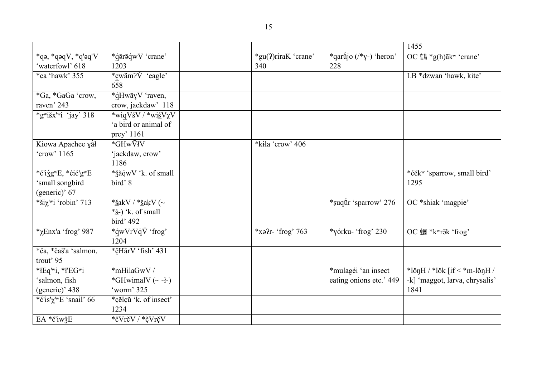|                                                                                  |                                                                                           |                            |                                         | 1455                                          |
|----------------------------------------------------------------------------------|-------------------------------------------------------------------------------------------|----------------------------|-----------------------------------------|-----------------------------------------------|
| $*$ qə, $*$ qəq $V$ , $*$ q'əq' $V$<br>'waterfowl' 618                           | *q̄ārāqwV 'crane'<br>1203                                                                 | *gu(?)riraK 'crane'<br>340 | *qartijo $(\frac{*}{y})$ 'heron'<br>228 | OC $#$ *g(h) $\bar{a}$ k <sup>w</sup> 'crane' |
| *ca 'hawk' 355                                                                   | *cwäm? $\check{V}$ 'eagle'<br>658                                                         |                            |                                         | LB *dzwan 'hawk, kite'                        |
| *Ga, *GaGa 'crow,<br>raven' 243                                                  | *qHwayV 'raven,<br>crow, jackdaw' 118                                                     |                            |                                         |                                               |
| *gwišx'wi 'jay' 318                                                              | $*\overline{wigVsV}$ /*wisV $\chi V$<br>'a bird or animal of<br>prey' 1161                |                            |                                         |                                               |
| Kiowa Apachee yał<br>'crow' 1165                                                 | *GHwVłV<br>'jackdaw, crow'<br>1186                                                        | *kila 'crow' 406           |                                         |                                               |
| *ć'iźg <sup>w</sup> E, *ćić'g <sup>w</sup> E<br>'small songbird<br>(generic)' 67 | * žăqwV 'k. of small<br>bird'8                                                            |                            |                                         | *ćĕkw 'sparrow, small bird'<br>1295           |
| *ši $\chi$ 'wi 'robin' 713                                                       | * <u>š</u> akV / * <u>š</u> akV (~<br>$*\underline{\dot{s}}$ -) 'k. of small<br>bird' 492 |                            | *suqur 'sparrow' 276                    | OC *shiak 'magpie'                            |
| $*$ <sub>X</sub> Enx'a 'frog' 987                                                | *qwVrVq $\bar{V}$ 'frog'<br>1204                                                          | $*$ xə?r- 'frog' 763       | *yórku- 'frog' 230                      | OC 蟈 *kʷrāk 'frog'                            |
| *ča, *čaš'a 'salmon,<br>trout' 95                                                | *čHārV 'fish' 431                                                                         |                            |                                         |                                               |
| *łEq'wi, *ł'EG"i                                                                 | *mHilaGwV /                                                                               |                            | *mulagéi 'an insect                     | *lŏnH / *lŏk [if $\le$ *m-lŏnH /              |
| 'salmon, fish<br>(generic)' 438                                                  | *GHwimalV $(\sim -l-)$<br>'worm' 325                                                      |                            | eating onions etc.' 449                 | -k] 'maggot, larva, chrysalis'<br>1841        |
| *c'is' $\chi^{\text{tw}}E$ 'snail' 66                                            | *çĕlçŭ 'k. of insect'<br>1234                                                             |                            |                                         |                                               |
| EA *č'iwžE                                                                       | *čVrčV / *čVrčV                                                                           |                            |                                         |                                               |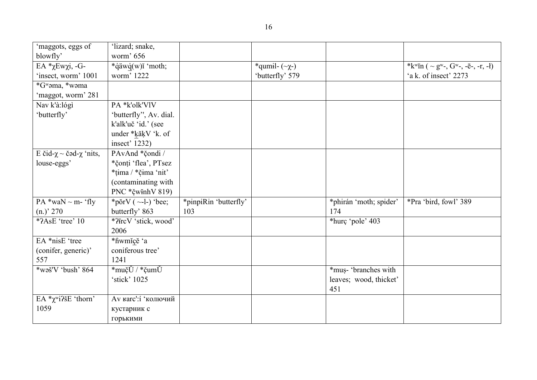| 'maggots, eggs of                    | 'lizard; snake,         |                       |                         |                        |                                       |
|--------------------------------------|-------------------------|-----------------------|-------------------------|------------------------|---------------------------------------|
| blowfly'                             | worm' 656               |                       |                         |                        |                                       |
| EΑ *χΕwχi, -G-                       | *qäwq(w)ĭ 'moth;        |                       | *qumil- $(\sim \chi$ -) |                        | *kwīn ( $\sim$ gw-, Gw-, -ē-, -r, -ł) |
| 'insect, worm' 1001                  | worm' 1222              |                       | 'butterfly' 579         |                        | 'a k. of insect' 2273                 |
| *Gwama, *wama                        |                         |                       |                         |                        |                                       |
| 'maggot, worm' 281                   |                         |                       |                         |                        |                                       |
| Nav k'à:lógì                         | PA *k'olk'VlV           |                       |                         |                        |                                       |
| 'butterfly'                          | 'butterfly'', Av. dial. |                       |                         |                        |                                       |
|                                      | k'alk'uč 'id.' (see     |                       |                         |                        |                                       |
|                                      | under *kăķV 'k. of      |                       |                         |                        |                                       |
|                                      | insect' 1232)           |                       |                         |                        |                                       |
| E čid- $\chi$ ~ čəd- $\chi$ 'nits,   | PAvAnd *čondi /         |                       |                         |                        |                                       |
| louse-eggs'                          | *čonți 'flea', PTsez    |                       |                         |                        |                                       |
|                                      | *tima / *čima 'nit'     |                       |                         |                        |                                       |
|                                      | (contaminating with     |                       |                         |                        |                                       |
|                                      | PNC *čwinhV 819)        |                       |                         |                        |                                       |
| PA *waN $\sim$ m- 'fly               | *pŏrV $(-1)$ 'bee;      | *pinpiRin 'butterfly' |                         | *phirán 'moth; spider' | *Pra 'bird, fowl' 389                 |
| (n.)' 270                            | butterfly' 863          | 103                   |                         | 174                    |                                       |
| *?AsE 'tree' 10                      | *?FrcV 'stick, wood'    |                       |                         | *hurc 'pole' 403       |                                       |
|                                      | 2006                    |                       |                         |                        |                                       |
| EA *nisE 'tree                       | *fiwmĭçĕ 'a             |                       |                         |                        |                                       |
| (conifer, generic)'                  | coniferous tree'        |                       |                         |                        |                                       |
| 557                                  | 1241                    |                       |                         |                        |                                       |
| *waš'V 'bush' 864                    | *mučŬ / *čumŬ           |                       |                         | *mus- 'branches with   |                                       |
|                                      | 'stick' 1025            |                       |                         | leaves; wood, thicket' |                                       |
|                                      |                         |                       |                         | 451                    |                                       |
| EA $*\chi$ <sup>w</sup> i?šE 'thorn' | Ау кагс': і 'колючий    |                       |                         |                        |                                       |
| 1059                                 | кустарник с             |                       |                         |                        |                                       |
|                                      | горькими                |                       |                         |                        |                                       |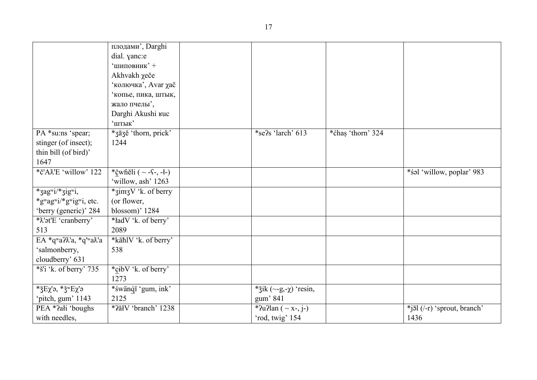|                                                           | плодами', Darghi            |                                 |                   |                                                |
|-----------------------------------------------------------|-----------------------------|---------------------------------|-------------------|------------------------------------------------|
|                                                           | dial. yanc:e                |                                 |                   |                                                |
|                                                           | 'шиповник' +                |                                 |                   |                                                |
|                                                           | Akhvakh χeče                |                                 |                   |                                                |
|                                                           | 'колючка', Avar <i>za</i> č |                                 |                   |                                                |
|                                                           | копье, пика, штык,          |                                 |                   |                                                |
|                                                           | жало пчелы',                |                                 |                   |                                                |
|                                                           | Darghi Akushi ruc           |                                 |                   |                                                |
|                                                           | 'штык'                      |                                 |                   |                                                |
| PA *su:ns 'spear;                                         | *3ā3ĕ 'thorn, prick'        | *se?s 'larch' 613               | *ćhas 'thorn' 324 |                                                |
| stinger (of insect);                                      | 1244                        |                                 |                   |                                                |
| thin bill (of bird)'                                      |                             |                                 |                   |                                                |
| 1647                                                      |                             |                                 |                   |                                                |
| *č'A <sub><math>X</math>E</sub> 'willow' 122              | *čุwheli $(- -1, -1)$       |                                 |                   | *s <sup>al</sup> 'willow, poplar' 983          |
|                                                           | 'willow, ash' 1263          |                                 |                   |                                                |
| *zagwi/*zigwi,                                            | *zimzV 'k. of berry         |                                 |                   |                                                |
| *gwagwi/*gwigwi, etc.                                     | (or flower,                 |                                 |                   |                                                |
| 'berry (generic)' 284                                     | blossom)' 1284              |                                 |                   |                                                |
| * $\lambda$ 'ət'E 'cranberry'                             | *ładV 'k. of berry'         |                                 |                   |                                                |
| 513                                                       | 2089                        |                                 |                   |                                                |
| EA $*q^{\text{w}}a^{\gamma}a$ , $*q^{\text{w}}a\lambda'a$ | *kăhlV 'k. of berry'        |                                 |                   |                                                |
| 'salmonberry,                                             | 538                         |                                 |                   |                                                |
| cloudberry' 631                                           |                             |                                 |                   |                                                |
| $*$ š'i 'k. of berry' 735                                 | *cibV 'k. of berry'         |                                 |                   |                                                |
|                                                           | 1273                        |                                 |                   |                                                |
| * $\Sigma$ Ex'ə, * $\Sigma$ <sup>w</sup> Ex'ə             | *śwänqī 'gum, ink'          | * žik $(\sim g, -\chi)$ 'resin, |                   |                                                |
| 'pitch, gum' 1143                                         | 2125                        | gum' 841                        |                   |                                                |
| PEA *?ałi 'boughs                                         | *2ăłV 'branch' 1238         | *?u?lan ( $\sim$ x-, j-)        |                   | $*j\bar{\mathfrak{sl}}$ (/-r) 'sprout, branch' |
| with needles,                                             |                             | 'rod, twig' 154                 |                   | 1436                                           |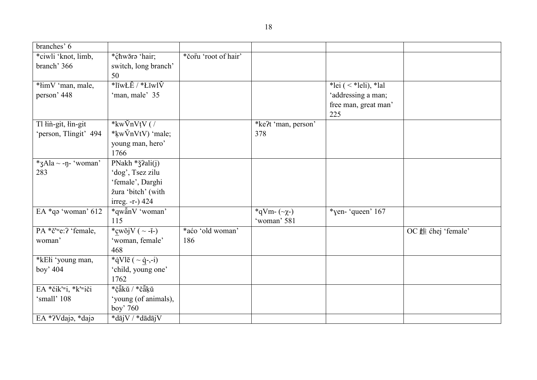| branches' 6           |                                  |                      |                       |                        |                    |
|-----------------------|----------------------------------|----------------------|-----------------------|------------------------|--------------------|
| *ciwli 'knot, limb,   | *chwora 'hair;                   | *čorū 'root of hair' |                       |                        |                    |
| branch' 366           | switch, long branch'             |                      |                       |                        |                    |
|                       | 50                               |                      |                       |                        |                    |
| *limV 'man, male,     | $*$ līwŁĔ / $*$ Łīwl $\check{V}$ |                      |                       | *lei $(<$ *leli), *lal |                    |
| person' 448           | 'man, male' 35                   |                      |                       | 'addressing a man;     |                    |
|                       |                                  |                      |                       | free man, great man'   |                    |
|                       |                                  |                      |                       | 225                    |                    |
| Tl łin-git, łin-git   | * $kw\breve{V}nVtV$ ( /          |                      | *ke?t 'man, person'   |                        |                    |
| 'person, Tlingit' 494 | *kwVnVtV) 'male;                 |                      | 378                   |                        |                    |
|                       | young man, hero'                 |                      |                       |                        |                    |
|                       | 1766                             |                      |                       |                        |                    |
| *3Ala ~ -n- 'woman'   | PNakh * ž?ali(j)                 |                      |                       |                        |                    |
| 283                   | 'dog', Tsez zilu                 |                      |                       |                        |                    |
|                       | 'female', Darghi                 |                      |                       |                        |                    |
|                       | žura 'bitch' (with               |                      |                       |                        |                    |
|                       | irreg. -r-) 424                  |                      |                       |                        |                    |
| EA *qə 'woman' 612    | *qwănV 'woman'                   |                      | *qVm- $(\sim \chi$ -) | *yen- 'queen' 167      |                    |
|                       | 115                              |                      | 'woman' 581           |                        |                    |
| PA *č'we:? 'female,   | *cwŏj $V$ ( ~ -i-)               | *aćo 'old woman'     |                       |                        | OC 雌 chej 'female' |
| woman'                | 'woman, female'                  | 186                  |                       |                        |                    |
|                       | 468                              |                      |                       |                        |                    |
| *kEłi 'young man,     | *qVlē ( $\sim$ q-,-i)            |                      |                       |                        |                    |
| boy' 404              | 'child, young one'               |                      |                       |                        |                    |
|                       | 1762                             |                      |                       |                        |                    |
| EA *čik'wi, *k'wiči   | *čäkŭ / *čäkŭ                    |                      |                       |                        |                    |
| 'small' 108           | 'young (of animals),             |                      |                       |                        |                    |
|                       | boy' 760                         |                      |                       |                        |                    |
| EA *?Vdajə, *dajə     | *dājV / *dādājV                  |                      |                       |                        |                    |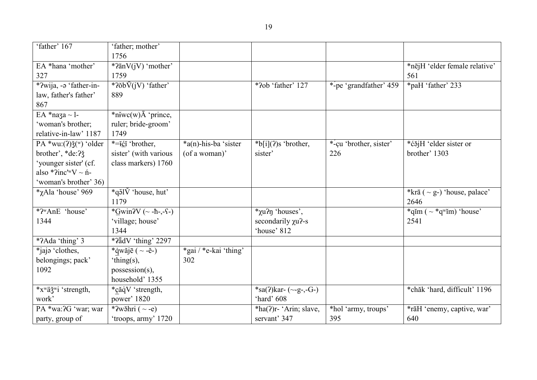| 'father' 167                                    | 'father; mother'                               |                       |                          |                        |                                          |
|-------------------------------------------------|------------------------------------------------|-----------------------|--------------------------|------------------------|------------------------------------------|
|                                                 | 1756                                           |                       |                          |                        |                                          |
| EA *hana 'mother'                               | $*2\bar{a}nV(iV)$ 'mother'                     |                       |                          |                        | *nējH 'elder female relative'            |
| 327                                             | 1759                                           |                       |                          |                        | 561                                      |
| *?wija, -a 'father-in-                          | * $?$ õb $\bar{V}$ (jV) 'father'               |                       | *?ob 'father' 127        | *-pe 'grandfather' 459 | *paH 'father' 233                        |
| law, father's father'                           | 889                                            |                       |                          |                        |                                          |
| 867                                             |                                                |                       |                          |                        |                                          |
| EA *naza $\sim$ 1-                              | *n <sup>i</sup> wc(w) $\bar{A}$ 'prince,       |                       |                          |                        |                                          |
| 'woman's brother;                               | ruler; bride-groom'                            |                       |                          |                        |                                          |
| relative-in-law' 1187                           | 1749                                           |                       |                          |                        |                                          |
| PA *wu: $(2)$ $\check{\mathfrak{z}}$ (w) 'older | *=iči 'brother,                                | *a(n)-his-ba 'sister  | $*b[i](?)s$ 'brother,    | *-cu 'brother, sister' | *ćĕjH 'elder sister or                   |
| brother', *de:?                                 | sister' (with various                          | (of a woman)'         | sister'                  | 226                    | brother' 1303                            |
| 'younger sister' (cf.                           | class markers) 1760                            |                       |                          |                        |                                          |
| also *?inc' <sup>w</sup> V ~ $n$ <sup>-</sup>   |                                                |                       |                          |                        |                                          |
| 'woman's brother' 36)                           |                                                |                       |                          |                        |                                          |
| <i>*</i> γAla 'house' 969                       | $\overline{*}$ qəl $\overline{V}$ 'house, hut' |                       |                          |                        | *krā ( $\sim$ g-) 'house, palace'        |
|                                                 | 1179                                           |                       |                          |                        | 2646                                     |
| *? <sup>w</sup> AnE 'house'                     | * $Gwin2V$ (~ -ħ-,-ſ-)                         |                       | <i>*</i> χu?η 'houses',  |                        | *qim $(\sim$ *q <sup>w</sup> im) 'house' |
| 1344                                            | 'village; house'                               |                       | secondarily $\chi u$ ?-s |                        | 2541                                     |
|                                                 | 1344                                           |                       | 'house' 812              |                        |                                          |
| *?Ada 'thing' 3                                 | *?ādV 'thing' 2297                             |                       |                          |                        |                                          |
| *jajo 'clothes,                                 | *qwăjē ( $\sim$ -ĕ-)                           | *gai / *e-kai 'thing' |                          |                        |                                          |
| belongings; pack'                               | 'thing(s),                                     | 302                   |                          |                        |                                          |
| 1092                                            | possession(s),                                 |                       |                          |                        |                                          |
|                                                 | household' 1355                                |                       |                          |                        |                                          |
| *x <sup>w</sup> äž <sup>w</sup> i 'strength,    | *çăqV 'strength,                               |                       | *sa(?)kar- $(-g$ -,-G-)  |                        | *chăk 'hard, difficult' 1196             |
| work'                                           | power' 1820                                    |                       | 'hard' 608               |                        |                                          |
| PA *wa: ?G 'war; war                            | *?wǎhri ( $\sim$ -e)                           |                       | $*ha(?)r-'Arin; slave,$  | *hol 'army, troups'    | *rāH 'enemy, captive, war'               |
| party, group of                                 | 'troops, army' 1720                            |                       | servant' 347             | 395                    | 640                                      |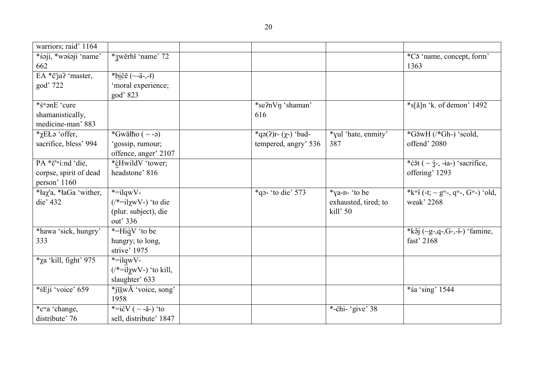| warriors; raid' 1164                |                                                 |                      |                      |                                                                                      |
|-------------------------------------|-------------------------------------------------|----------------------|----------------------|--------------------------------------------------------------------------------------|
| *śəji, *wəśəji 'name'<br>662        | *3wěrh <sub>ř</sub> 'name' 72                   |                      |                      | *C <sub>3</sub> 'name, concept, form'<br>1363                                        |
| EA *č'ja? 'master,                  | *b <u>i</u> čē (~-ä-,- <del>ī</del> )           |                      |                      |                                                                                      |
| god' 722                            | 'moral experience;                              |                      |                      |                                                                                      |
|                                     | god' 823                                        |                      |                      |                                                                                      |
| *śwonE 'cure                        |                                                 | *se?nVn 'shaman'     |                      | *s[ă]n 'k. of demon' 1492                                                            |
| shamanistically,                    |                                                 | 616                  |                      |                                                                                      |
| medicine-man' 883                   |                                                 |                      |                      |                                                                                      |
| $*$ <sub>Z</sub> EŁ $\circ$ 'offer, | *Gwāłħo $(\sim$ -ə)                             | *qə(?)r-(χ-) 'bad-   | *yul 'hate, enmity'  | $*G\bar{\text{a}}wH$ (/*Gh-) 'scold,                                                 |
| sacrifice, bless' 994               | 'gossip, rumour;                                | tempered, angry' 536 | 387                  | offend' 2080                                                                         |
|                                     | offence, anger' 2107                            |                      |                      |                                                                                      |
| PA *č'wi:nd 'die,                   | *cHwildV 'tower;                                |                      |                      | * $\acute{\rm{c}}$ ăt ( ~ $\acute{\rm{z}}$ -, -ia-) 'sacrifice,                      |
| corpse, spirit of dead              | headstone' 816                                  |                      |                      | offering' 1293                                                                       |
| person' 1160                        |                                                 |                      |                      |                                                                                      |
| <i>*la</i> χ'a, *laGa 'wither,      | $*$ =ilqwV-                                     | *qp- 'to die' $573$  | *ya-n- 'to be        | *k <sup>w</sup> i (-t; ~ g <sup>w</sup> -, q <sup>w</sup> -, G <sup>w</sup> -) 'old, |
| die' 432                            | $(\frac{1}{2} = i \chi W - \frac{1}{2})$ to die |                      | exhausted, tired; to | weak' 2268                                                                           |
|                                     | (plur. subject), die                            |                      | kill' 50             |                                                                                      |
|                                     | out' 336                                        |                      |                      |                                                                                      |
| *hawa 'sick, hungry'                | *=HiqV 'to be                                   |                      |                      | *kɔ̃j (~g-,q-,G-,-ĭ-) 'famine,                                                       |
| 333                                 | hungry; to long,                                |                      |                      | fast' 2168                                                                           |
|                                     | strive' 1975                                    |                      |                      |                                                                                      |
| $*$ χa 'kill, fight' 975            | $*$ =ilqwV-                                     |                      |                      |                                                                                      |
|                                     | $(\n\ast = i \chi wV)$ 'to kill,                |                      |                      |                                                                                      |
|                                     | slaughter' 633                                  |                      |                      |                                                                                      |
| *śEji 'voice' 659                   | *jī <u>š</u> wĂ 'voice, song'                   |                      |                      | *śa 'sing' 1544                                                                      |
|                                     | 1958                                            |                      |                      |                                                                                      |
| *c <sup>w</sup> a 'change,          | *= $i\text{eV}$ ( ~ - $i$ -) 'to                |                      | *-chi- 'give' 38     |                                                                                      |
| distribute' 76                      | sell, distribute' 1847                          |                      |                      |                                                                                      |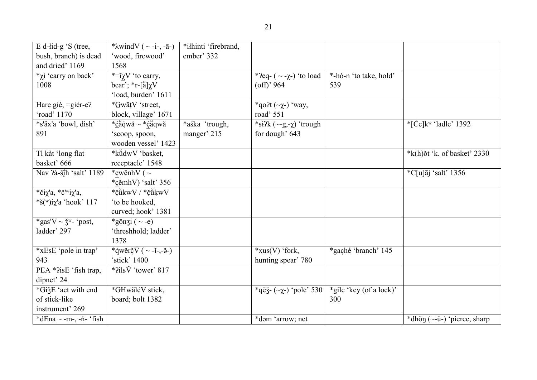| E d-lid-g 'S (tree,                                 | * $\lambda$ windV ( ~ -i-, - $\bar{a}$ -) | *ilhinti 'firebrand, |                                  |                         |                                                           |
|-----------------------------------------------------|-------------------------------------------|----------------------|----------------------------------|-------------------------|-----------------------------------------------------------|
| bush, branch) is dead                               | 'wood, firewood'                          | ember' 332           |                                  |                         |                                                           |
| and dried' 1169                                     | 1568                                      |                      |                                  |                         |                                                           |
| <i>*</i> χ <i>i</i> 'carry on back'                 | $*=$ <sup>γ</sup> $V$ 'to carry,          |                      | *?eq- $(-2-\chi)$ 'to load       | *-hó-n 'to take, hold'  |                                                           |
| 1008                                                | bear'; *r-[ $\tilde{a}$ ] $\chi$ V        |                      | $\text{(off)}$ ' 964             | 539                     |                                                           |
|                                                     | 'load, burden' 1611                       |                      |                                  |                         |                                                           |
| Hare giè, = giér-e?                                 | *GwātV 'street,                           |                      | *qo?t $(\sim_X)$ 'way,           |                         |                                                           |
| 'road' 1170                                         | block, village' 1671                      |                      | road' 551                        |                         |                                                           |
| *s'äx'a 'bowl, dish'                                | *căqwă ~ *căqwă                           | *aśka 'trough,       | *si?k $(\sim-g,\sim)$ 'trough    |                         | $\check{\mathrm{Kce}}$ [Ce] $k^{\mathrm{w}}$ 'ladle' 1392 |
| 891                                                 | 'scoop, spoon,                            | manger' 215          | for dough' 643                   |                         |                                                           |
|                                                     | wooden vessel' 1423                       |                      |                                  |                         |                                                           |
| Tl kàt 'long flat                                   | *küdwV 'basket,                           |                      |                                  |                         | $*$ k(h) $\delta t$ 'k. of basket' 2330                   |
| basket' 666                                         | receptacle' 1548                          |                      |                                  |                         |                                                           |
| Nav ?à-šīh 'salt' 1189                              | *cwĕnhV ( $\sim$                          |                      |                                  |                         | $^{\ast}$ C[u] $\overline{a}$ j 'salt' 1356               |
|                                                     | *cĕmhV) 'salt' 356                        |                      |                                  |                         |                                                           |
| *či $\chi$ 'a, *č' <sup>w</sup> i $\chi$ 'a,        | *čůkwV / *čůkwV                           |                      |                                  |                         |                                                           |
| *š(w)i $\chi$ 'a 'hook' 117                         | 'to be hooked,                            |                      |                                  |                         |                                                           |
|                                                     | curved; hook' 1381                        |                      |                                  |                         |                                                           |
| *gas'V ~ $\check{\mathsf{S}}^{\mathrm{w}}$ - 'post, | *gōnʒi ( $\sim$ -e)                       |                      |                                  |                         |                                                           |
| ladder' 297                                         | 'threshhold; ladder'                      |                      |                                  |                         |                                                           |
|                                                     | 1378                                      |                      |                                  |                         |                                                           |
| *xEsE 'pole in trap'                                | *qwĕrč $\bar{V}$ ( ~ - i-, - > -)         |                      | $*xus(V)$ 'fork,                 | *gaché 'branch' 145     |                                                           |
| 943                                                 | 'stick' 1400                              |                      | hunting spear' 780               |                         |                                                           |
| PEA *?isE 'fish trap,                               | $*$ ?ils $\check{V}$ 'tower' 817          |                      |                                  |                         |                                                           |
| dipnet' 24                                          |                                           |                      |                                  |                         |                                                           |
| *GižE 'act with end                                 | *GHwälćV stick,                           |                      | $*q\bar{e}$ ξ - (~χ-) 'pole' 530 | *gilc 'key (of a lock)' |                                                           |
| of stick-like                                       | board; bolt 1382                          |                      |                                  | 300                     |                                                           |
| instrument' 269                                     |                                           |                      |                                  |                         |                                                           |
| *dEna $\sim$ -m-, -ń- 'fish                         |                                           |                      | *dəm 'arrow; net                 |                         | *dhŏn $(\sim$ -ŭ-) 'pierce, sharp                         |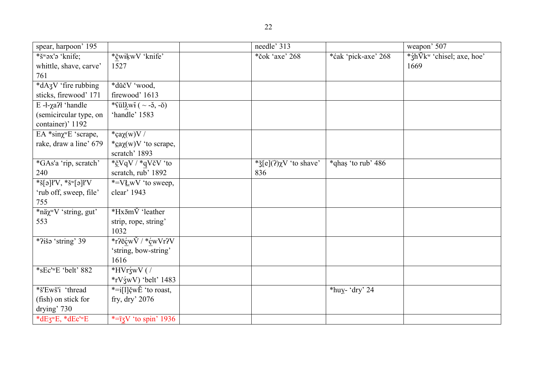| spear, harpoon' 195                                           |                                                 | needle' 313                       |                     | weapon' 507                                   |
|---------------------------------------------------------------|-------------------------------------------------|-----------------------------------|---------------------|-----------------------------------------------|
| *š <sup>w</sup> əx'ə 'knife;                                  | *čwikwV 'knife'                                 | *čok 'axe' 268                    | *ćak 'pick-axe' 268 | * $\frac{1}{2}h\bar{V}k^w$ 'chisel; axe, hoe' |
| whittle, shave, carve'                                        | 1527                                            |                                   |                     | 1669                                          |
| 761                                                           |                                                 |                                   |                     |                                               |
| $*dA_3V$ 'fire rubbing                                        | *dŭčV 'wood,                                    |                                   |                     |                                               |
| sticks, firewood' 171                                         | firewood' 1613                                  |                                   |                     |                                               |
| $\overline{E}$ - <i>l</i> - $\chi$ a?ł 'handle                | *fül $\lambda$ wi ( ~ - $\delta$ , - $\delta$ ) |                                   |                     |                                               |
| (semicircular type, on                                        | 'handle' 1583                                   |                                   |                     |                                               |
| container)' 1192                                              |                                                 |                                   |                     |                                               |
| $\overline{E}A * sin\chi^w E$ 'scrape,                        | *ca $\chi(w)V/$                                 |                                   |                     |                                               |
| rake, draw a line' 679                                        | * $\frac{c}{c}a\chi(w)V$ 'to scrape,            |                                   |                     |                                               |
|                                                               | scratch' 1893                                   |                                   |                     |                                               |
| *GAs'a 'rip, scratch'                                         | * <u>č</u> VqV / *qVčV 'to                      | * $\S$ [e](?) $\chi$ V 'to shave' | *qhas 'to rub' 486  |                                               |
| 240                                                           | scratch, rub' 1892                              | 836                               |                     |                                               |
| $*\S[\mathfrak{g}]$ ł'V, $*\S^{\mathrm{w}}[\mathfrak{g}]$ ł'V | *=VLwV 'to sweep,                               |                                   |                     |                                               |
| 'rub off, sweep, file'                                        | clear' 1943                                     |                                   |                     |                                               |
| 755                                                           |                                                 |                                   |                     |                                               |
| *näχ <sup>w</sup> V 'string, gut'                             | *Hx5mV 'leather                                 |                                   |                     |                                               |
| 553                                                           | strip, rope, string'                            |                                   |                     |                                               |
|                                                               | 1032                                            |                                   |                     |                                               |
| *?išə 'string' 39                                             | *r?ēćw $\check{V}$ / *ćw $Vr$ ?V                |                                   |                     |                                               |
|                                                               | 'string, bow-string'                            |                                   |                     |                                               |
|                                                               | 1616                                            |                                   |                     |                                               |
| *sEc' <sup>w</sup> E 'belt' 882                               | $*HVr\acute{z}wV$ (/                            |                                   |                     |                                               |
|                                                               | $*$ rV $\langle$ swV) 'belt' 1483               |                                   |                     |                                               |
| *š'Ewš'i 'thread                                              | *= $i[1]\xi wE'$ to roast,                      |                                   | *huy- 'dry' 24      |                                               |
| (fish) on stick for                                           | fry, $\text{dry}'\,2076$                        |                                   |                     |                                               |
|                                                               |                                                 |                                   |                     |                                               |

drying' 730

 $*=\bar{q}V$  'to spin' 1936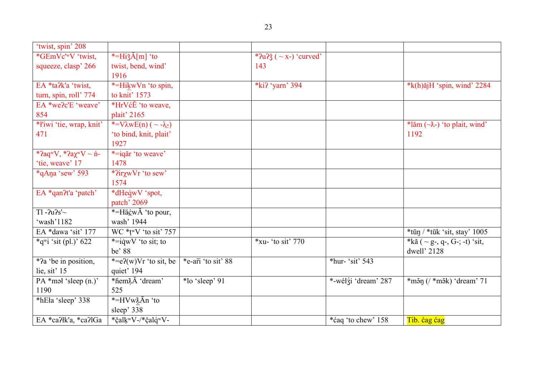| 'twist, spin' 208                     |                                        |                    |                                   |                     |                                           |
|---------------------------------------|----------------------------------------|--------------------|-----------------------------------|---------------------|-------------------------------------------|
| *GEmVc'wV 'twist,                     | *= $\text{HižÅ}[m]$ 'to                |                    | * $2u$ ? $\zeta$ ( ~ x-) 'curved' |                     |                                           |
| squeeze, clasp' 266                   | twist, bend, wind'                     |                    | 143                               |                     |                                           |
|                                       | 1916                                   |                    |                                   |                     |                                           |
| EA *ta?k'a 'twist,                    | *=HikwVn 'to spin,                     |                    | *ki? 'yarn' 394                   |                     | $*$ k(h) $\tilde{a}$ jH 'spin, wind' 2284 |
| turn, spin, roll' 774                 | to knit' 1573                          |                    |                                   |                     |                                           |
| EA *we?c'E 'weave'                    | *HrVćE 'to weave,                      |                    |                                   |                     |                                           |
| 854                                   | plait' 2165                            |                    |                                   |                     |                                           |
| * <i>l'iwi</i> 'tie, wrap, knit'      | *= $V\lambda wE(n)$ ( ~ - $\lambda$ -) |                    |                                   |                     | *lăm $(\sim \lambda)$ 'to plait, wind'    |
| 471                                   | 'to bind, knit, plait'                 |                    |                                   |                     | 1192                                      |
|                                       | 1927                                   |                    |                                   |                     |                                           |
| * $2aqwV$ , * $2aqwV \sim \text{m}$ - | *=igăr 'to weave'                      |                    |                                   |                     |                                           |
| 'tie, weave' 17                       | 1478                                   |                    |                                   |                     |                                           |
| *qAna 'sew' 593                       | * $i$ ir $\chi$ w $V$ r 'to sew'       |                    |                                   |                     |                                           |
|                                       | 1574                                   |                    |                                   |                     |                                           |
| EA *qan?t'a 'patch'                   | *dHeqwV 'spot,                         |                    |                                   |                     |                                           |
|                                       | patch' 2069                            |                    |                                   |                     |                                           |
| $T1 - 2u2s'$                          | *=Hä $\angle$ wĂ 'to pour,             |                    |                                   |                     |                                           |
| 'wash'1182                            | wash' 1944                             |                    |                                   |                     |                                           |
| EA *dawa 'sit' 177                    | $WC * t wV$ 'to sit' 757               |                    |                                   |                     | $*$ tūn / $*$ tūk 'sit, stay' 1005        |
| *q <sup>w</sup> i 'sit (pl.)' 622     | $*=$ iqwV 'to sit; to                  |                    | $*$ xu- 'to sit' 770              |                     | *kă ( ~ g-, q-, G-; -t) 'sit,             |
|                                       | be' 88                                 |                    |                                   |                     | dwell' 2128                               |
| $\sqrt[*]{a}$ be in position,         | *= $e$ $\chi$ (w) $Vr$ 'to sit, be     | *e-ari 'to sit' 88 |                                   | *hur-'sit' $543$    |                                           |
| lie, sit' 15                          | quiet' 194                             |                    |                                   |                     |                                           |
| $PA * məl 'sleep (n.)'$               | *fiem $\lambda$ Ă 'dream'              | *lo 'sleep' 91     |                                   | *-wélźi 'dream' 287 | $*$ měn (/ $*$ měk) 'dream' 71            |
| 1190                                  | 525                                    |                    |                                   |                     |                                           |
| *hEła 'sleep' 338                     | *=HVwXĀn 'to                           |                    |                                   |                     |                                           |
|                                       | sleep' 338                             |                    |                                   |                     |                                           |
| EA *ca?łk'a, *ca?lGa                  | *čalk <sup>w</sup> V-/*čalqwV-         |                    |                                   | *ćaq 'to chew' 158  | Tib. cag cag                              |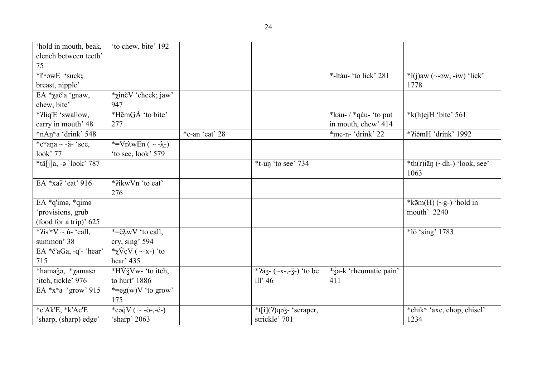| 'hold in mouth, beak,                    | 'to chew, bite' 192                               |                |                                           |                        |                                           |
|------------------------------------------|---------------------------------------------------|----------------|-------------------------------------------|------------------------|-------------------------------------------|
| clench between teeth'                    |                                                   |                |                                           |                        |                                           |
| 75                                       |                                                   |                |                                           |                        |                                           |
| * <i>l'w</i> owE 'suck;                  |                                                   |                |                                           | *-Itáu- 'to lick' 281  | $*l(j)$ aw (~- $\partial w$ , -iw) 'lick' |
| breast, nipple'                          |                                                   |                |                                           |                        | 1778                                      |
| EA *χač'a 'gnaw,                         | <i>*</i> χinčV 'cheek; jaw'                       |                |                                           |                        |                                           |
| chew, bite'                              | 947                                               |                |                                           |                        |                                           |
| *?liq'E 'swallow,                        | *HěmGĂ 'to bite'                                  |                |                                           | *káu-/*qáu-'to put     | $*$ k(h)ejH 'bite' 561                    |
| carry in mouth' 48                       | 277                                               |                |                                           | in mouth, chew' 414    |                                           |
| *nAn <sup>w</sup> a 'drink' 548          |                                                   | *e-an 'eat' 28 |                                           | *me-n- 'drink' 22      | *?iǎmH 'drink' 1992                       |
| *cwana $\sim$ -ä- 'see,                  | *=VrλwEn ( ~ -λ-)                                 |                |                                           |                        |                                           |
| look' 77                                 | 'to see, look' 579                                |                |                                           |                        |                                           |
| $*$ tä[j]a, -ə 'look' 787                |                                                   |                | $*$ t-un 'to see' 734                     |                        | *th(r) $i\bar{a}$ n (~dh-) 'look, see'    |
|                                          |                                                   |                |                                           |                        | 1063                                      |
| EA *xa? 'eat' 916                        | *?ikwVn 'to eat'                                  |                |                                           |                        |                                           |
|                                          | 276                                               |                |                                           |                        |                                           |
| EA *q'imə, *qimə                         |                                                   |                |                                           |                        | * $k\bar{5}m(H)$ (~g-) 'hold in           |
| 'provisions, grub                        |                                                   |                |                                           |                        | mouth' 2240                               |
| (food for a trip)' 625                   |                                                   |                |                                           |                        |                                           |
| * $i^{2}$ is' <sup>w</sup> V ~ ń- 'call, | $\overline{e^*} = \tilde{e} \lambda wV$ 'to call, |                |                                           |                        | $*l\bar{o}$ 'sing' 1783                   |
| summon' 38                               | cry, sing' 594                                    |                |                                           |                        |                                           |
| EA *č'aGa, -q'- 'hear'                   | * $\chi$ VçV ( ~ x-) 'to                          |                |                                           |                        |                                           |
| 715                                      | hear' 435                                         |                |                                           |                        |                                           |
| *hamaǯǝ, *χamasǝ                         | *HVžVw- 'to itch,                                 |                | * $2\bar{a}$ 3 - (~x-,- $\zeta$ -) 'to be | *za-k 'rheumatic pain' |                                           |
| 'itch, tickle' 976                       | to hurt' 1886                                     |                | ill' $46$                                 | 411                    |                                           |
| EA $*_{x}$ <sup>w</sup> a 'grow' 915     | *= $eg(w)V$ 'to grow'                             |                |                                           |                        |                                           |
|                                          | 175                                               |                |                                           |                        |                                           |
| *c'Ak'E, *k'Ac'E                         | *çəqV ( $\sim$ -ŏ-,-ĕ-)                           |                | *t[i](?)qəǯ- 'scraper,                    |                        | *chīkw 'axe, chop, chisel'                |
| 'sharp, (sharp) edge'                    | 'sharp' 2063                                      |                | strickle' 701                             |                        | 1234                                      |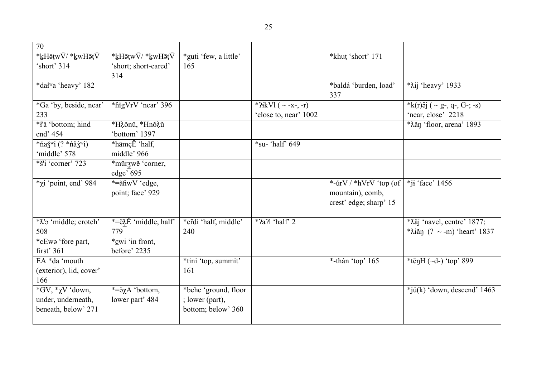| *guti 'few, a little'<br>165 | *khut 'short' 171  |
|------------------------------|--------------------|
|                              | *baldá 'burden, lo |

| 'short' 314                                 | 'short; short-eared'<br>314   | 165                  |                          |                                 |                                       |
|---------------------------------------------|-------------------------------|----------------------|--------------------------|---------------------------------|---------------------------------------|
| *dałwa 'heavy' 182                          |                               |                      |                          | *baldá 'burden, load'<br>337    | *Xij 'heavy' 1933                     |
| *Ga 'by, beside, near'                      | *higVrV 'near' 396            |                      | *?ikVl ( $\sim$ -x-, -r) |                                 | *k(r) $5j$ ( ~ g-, q-, G-; -s)        |
| 233                                         |                               |                      | 'close to, near' 1002    |                                 | 'near, close' 2218                    |
| *ł'ä 'bottom; hind                          | *Hảonŭ, *Hnoảŭ                |                      |                          |                                 | *Xăn 'floor, arena' 1893              |
| end' 454                                    | 'bottom' 1397                 |                      |                          |                                 |                                       |
| *ňaž <sup>w</sup> i (? *ňäź <sup>w</sup> i) | *hāmçĔ 'half,                 |                      | $*$ su-'half' 649        |                                 |                                       |
| 'middle' 578                                | middle' 966                   |                      |                          |                                 |                                       |
| *š'i 'corner' 723                           | *mūrzwĕ 'corner,              |                      |                          |                                 |                                       |
|                                             | edge' 695                     |                      |                          |                                 |                                       |
| $*_\chi$ i 'point, end' 984                 | *=ăĥwV 'edge,                 |                      |                          | *- $\frac{W}{A}$ *hVrV 'top (of | $*$ ji 'face' 1456                    |
|                                             | point; face' 929              |                      |                          | mountain), comb,                |                                       |
|                                             |                               |                      |                          | crest' edge; sharp' 15          |                                       |
|                                             |                               |                      |                          |                                 |                                       |
| * $\chi$ 'a 'middle; crotch'                | *=ě\L 'middle, half'          | *erdi 'half, middle' | $*$ ?a?l 'half' 2        |                                 | * $\lambda$ ăj 'navel, centre' 1877;  |
| 508                                         | 779                           | 240                  |                          |                                 | * $\lambda$ iăn (? ~ -m) 'heart' 1837 |
| *cEwa 'fore part,                           | *cwi 'in front,               |                      |                          |                                 |                                       |
| first' $361$                                | before' 2235                  |                      |                          |                                 |                                       |
| EA *da 'mouth                               |                               | *tini 'top, summit'  |                          | *-thán 'top' 165                | *tēn $H$ (~d-) 'top' 899              |
| (exterior), lid, cover'                     |                               | 161                  |                          |                                 |                                       |
| 166                                         |                               |                      |                          |                                 |                                       |
| $*GV, *_{\chi}V$ 'down,                     | $*=\check{a} \chi A$ 'bottom, | *behe 'ground, floor |                          |                                 | $*j\check{u}(k)$ 'down, descend' 1463 |
| under, underneath,                          | lower part' 484               | ; lower (part),      |                          |                                 |                                       |
| beneath, below' 271                         |                               | bottom; below' 360   |                          |                                 |                                       |
|                                             |                               |                      |                          |                                 |                                       |

70

\*<u>k</u>HāṭwV/ \*<u>k</u>wH

\*<u>k</u>HāṭwV/ \*<u>k</u>wH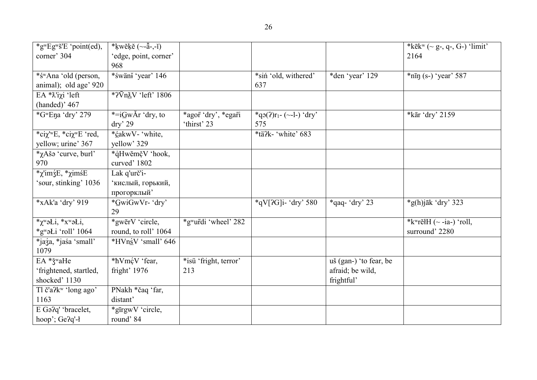| *g <sup>w</sup> Eg <sup>w</sup> š'E 'point(ed), | * $kw\check{e}k\check{e}$ (~- $\check{a}$ -,- $\check{1}$ ) |                       |                              |                        | *kēkw (~ g-, q-, G-) 'limit'          |
|-------------------------------------------------|-------------------------------------------------------------|-----------------------|------------------------------|------------------------|---------------------------------------|
| corner' 304                                     | 'edge, point, corner'                                       |                       |                              |                        | 2164                                  |
|                                                 | 968                                                         |                       |                              |                        |                                       |
| *śwAna 'old (person,                            | *śwäni 'year' 146                                           |                       | *siń 'old, withered'         | *den 'year' 129        | $*n\bar{p}$ (s-) 'year' 587           |
| animal); old age' 920                           |                                                             |                       | 637                          |                        |                                       |
| EA *λ'iχi 'left                                 | $*2\overline{V}n\lambda V$ 'left' 1806                      |                       |                              |                        |                                       |
| (handed)' 467                                   |                                                             |                       |                              |                        |                                       |
| *G <sup>w</sup> Ena 'dry' 279                   | *= $iGwAr$ 'dry, to                                         | *agor 'dry', *egari   | * $q_0(2)r_1$ - (~-1-) 'dry' |                        | *kār 'dry' 2159                       |
|                                                 | $\text{dry}' 29$                                            | 'thirst' 23           | 575                          |                        |                                       |
| *ciχ <sup>'w</sup> E, *ciχ <sup>w</sup> E 'red, | *ćakwV- 'white,                                             |                       | *tä?k- 'white' 683           |                        |                                       |
| yellow; urine' 367                              | yellow' 329                                                 |                       |                              |                        |                                       |
| <i>*</i> χΑšο 'curve, burl'                     | *ąHwěmčV 'hook,                                             |                       |                              |                        |                                       |
| 970                                             | curved' 1802                                                |                       |                              |                        |                                       |
| *χ'im ζΕ, *χim sE                               | Lak q'urč'i-                                                |                       |                              |                        |                                       |
| sour, stinking' 1036                            | кислый, горький,                                            |                       |                              |                        |                                       |
|                                                 | прогорклый'                                                 |                       |                              |                        |                                       |
| *xAk'a 'dry' 919                                | *GwiGwVr- 'dry'                                             |                       | $*qV[2G]$ i- 'dry' 580       | $*$ qaq-'dry' 23       | $*$ g(h)jāk 'dry' 323                 |
|                                                 | 29                                                          |                       |                              |                        |                                       |
| * $\chi^w$ əLi, * $x^w$ əLi,                    | *gwērV 'circle,                                             | *gwurdi 'wheel' 282   |                              |                        | * $k^{\text{w}}$ rĕłH (~ -ia-) 'roll, |
| *gwaŁi 'roll' 1064                              | round, to roll' 1064                                        |                       |                              |                        | surround' 2280                        |
| *jaźa, *jaśa 'small'                            | *HVnsV 'small' 646                                          |                       |                              |                        |                                       |
| 1079                                            |                                                             |                       |                              |                        |                                       |
| EA * ž <sup>w</sup> aHe                         | *hVmćV 'fear,                                               | *isü 'fright, terror' |                              | uš (gan-) 'to fear, be |                                       |
| 'frightened, startled,                          | fright' 1976                                                | 213                   |                              | afraid; be wild,       |                                       |
| shocked' 1130                                   |                                                             |                       |                              | frightful'             |                                       |
| Tl č'a?k <sup>w</sup> 'long ago'                | PNakh *čaq 'far,                                            |                       |                              |                        |                                       |
| 1163                                            | distant'                                                    |                       |                              |                        |                                       |
| E Ga?q' 'bracelet,                              | *gīrgwV 'circle,                                            |                       |                              |                        |                                       |
| hoop'; Ge?q'-ł                                  | round'84                                                    |                       |                              |                        |                                       |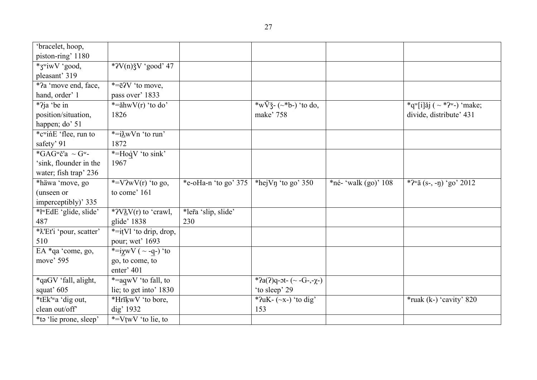| 'bracelet, hoop,                         |                                                         |                        |                                  |                         |                                                     |
|------------------------------------------|---------------------------------------------------------|------------------------|----------------------------------|-------------------------|-----------------------------------------------------|
| piston-ring' 1180                        |                                                         |                        |                                  |                         |                                                     |
| *3"iwV 'good,                            | * $2V(n) \xi V$ 'good' 47                               |                        |                                  |                         |                                                     |
| pleasant' 319                            |                                                         |                        |                                  |                         |                                                     |
| *2a 'move end, face,                     | $*=\bar{e}$ <sup>2</sup> V 'to move,                    |                        |                                  |                         |                                                     |
| hand, order' 1                           | pass over' 1833                                         |                        |                                  |                         |                                                     |
| *?ja 'be in                              | $\sqrt{\frac{1}{2}}$ = $\frac{1}{2}$ ahw $V(r)$ 'to do' |                        | *w $\nabla \xi$ - (~*b-) 'to do, |                         | *q <sup>w</sup> [i]ăj ( ~ *? <sup>w</sup> -) 'make; |
| position/situation,                      | 1826                                                    |                        | make' 758                        |                         | divide, distribute' 431                             |
| happen; do' 51                           |                                                         |                        |                                  |                         |                                                     |
| *c <sup>w</sup> ine 'flee, run to        | *=iλwVn 'to run'                                        |                        |                                  |                         |                                                     |
| safety' 91                               | 1872                                                    |                        |                                  |                         |                                                     |
| *GAG <sup>w</sup> č'a ~ G <sup>w</sup> - | *=HoqV 'to sink'                                        |                        |                                  |                         |                                                     |
| 'sink, flounder in the                   | 1967                                                    |                        |                                  |                         |                                                     |
| water; fish trap' 236                    |                                                         |                        |                                  |                         |                                                     |
| *häwa 'move, go                          | *= $V2wV(r)$ 'to go,                                    | *e-oHa-n 'to go' $375$ | *hej $V\eta$ 'to go' 350         | *né- 'walk $(go)$ ' 108 | * $2^{\omega}$ ă (s-, -n) 'go' 2012                 |
| (unseen or                               | to come' 161                                            |                        |                                  |                         |                                                     |
| imperceptibly)' 335                      |                                                         |                        |                                  |                         |                                                     |
| *ł <sup>w</sup> EdE 'glide, slide'       | * $2V_1^{\prime\prime}$ V(r) to 'crawl,                 | *lera 'slip, slide'    |                                  |                         |                                                     |
| 487                                      | glide' 1838                                             | 230                    |                                  |                         |                                                     |
| *X'Et'i 'pour, scatter'                  | *=itVl 'to drip, drop,                                  |                        |                                  |                         |                                                     |
| 510                                      | pour; wet' 1693                                         |                        |                                  |                         |                                                     |
| EA *qa 'come, go,                        | *= $i\chi$ wV ( ~ -q-) 'to                              |                        |                                  |                         |                                                     |
| move' 595                                | go, to come, to                                         |                        |                                  |                         |                                                     |
|                                          | enter' 401                                              |                        |                                  |                         |                                                     |
| *qaGV 'fall, alight,                     | *=aqwV 'to fall, to                                     |                        | *?a(?)q-ot- $(-G$ -,- $\chi$ -)  |                         |                                                     |
| squat' 605                               | lie; to get into' 1830                                  |                        | 'to sleep' 29                    |                         |                                                     |
| *tEk'wa 'dig out,                        | *HrīķwV 'to bore,                                       |                        | * $?uK-$ (~x-) 'to dig'          |                         | $*$ ruak (k-) 'cavity' 820                          |
| clean out/off'                           | dig' 1932                                               |                        | 153                              |                         |                                                     |
| *tə 'lie prone, sleep'                   | *= $V$ twV 'to lie, to                                  |                        |                                  |                         |                                                     |